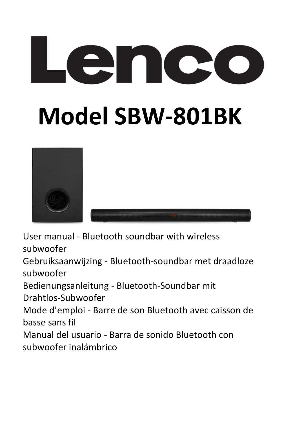# **ACO Model SBW-801BK**



User manual - Bluetooth soundbar with wireless subwoofer

Gebruiksaanwijzing - Bluetooth-soundbar met draadloze subwoofer

Bedienungsanleitung - Bluetooth-Soundbar mit

Drahtlos-Subwoofer

Mode d'emploi - Barre de son Bluetooth avec caisson de basse sans fil

Manual del usuario - Barra de sonido Bluetooth con subwoofer inalámbrico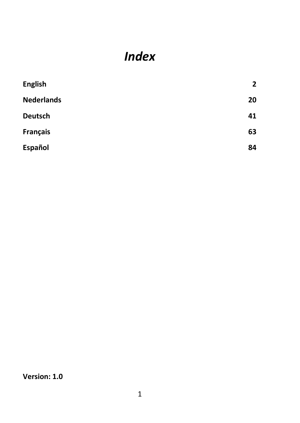# *Index*

| <b>English</b>    | 2  |
|-------------------|----|
| <b>Nederlands</b> | 20 |
| Deutsch           | 41 |
| <b>Français</b>   | 63 |
| Español           | 84 |

**Version: 1.0**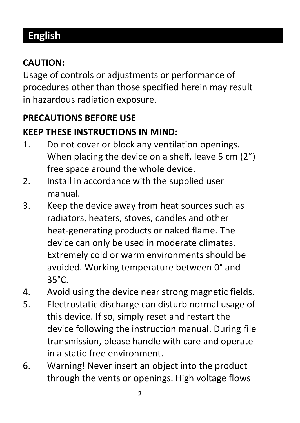# <span id="page-2-0"></span>**English**

## **CAUTION:**

Usage of controls or adjustments or performance of procedures other than those specified herein may result in hazardous radiation exposure.

## **PRECAUTIONS BEFORE USE**

## **KEEP THESE INSTRUCTIONS IN MIND:**

- 1. Do not cover or block any ventilation openings. When placing the device on a shelf, leave 5 cm (2") free space around the whole device.
- 2. Install in accordance with the supplied user manual.
- 3. Keep the device away from heat sources such as radiators, heaters, stoves, candles and other heat-generating products or naked flame. The device can only be used in moderate climates. Extremely cold or warm environments should be avoided. Working temperature between 0° and  $35^{\circ}$ C.
- 4. Avoid using the device near strong magnetic fields.
- 5. Electrostatic discharge can disturb normal usage of this device. If so, simply reset and restart the device following the instruction manual. During file transmission, please handle with care and operate in a static-free environment.
- 6. Warning! Never insert an object into the product through the vents or openings. High voltage flows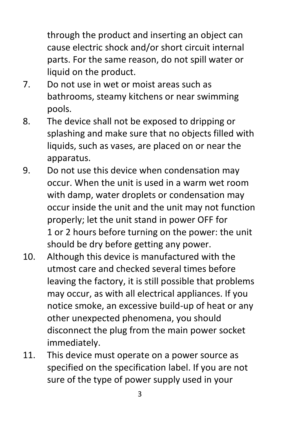through the product and inserting an object can cause electric shock and/or short circuit internal parts. For the same reason, do not spill water or liquid on the product.

- 7. Do not use in wet or moist areas such as bathrooms, steamy kitchens or near swimming pools.
- 8. The device shall not be exposed to dripping or splashing and make sure that no objects filled with liquids, such as vases, are placed on or near the apparatus.
- 9. Do not use this device when condensation may occur. When the unit is used in a warm wet room with damp, water droplets or condensation may occur inside the unit and the unit may not function properly; let the unit stand in power OFF for 1 or 2 hours before turning on the power: the unit should be dry before getting any power.
- 10. Although this device is manufactured with the utmost care and checked several times before leaving the factory, it is still possible that problems may occur, as with all electrical appliances. If you notice smoke, an excessive build-up of heat or any other unexpected phenomena, you should disconnect the plug from the main power socket immediately.
- 11. This device must operate on a power source as specified on the specification label. If you are not sure of the type of power supply used in your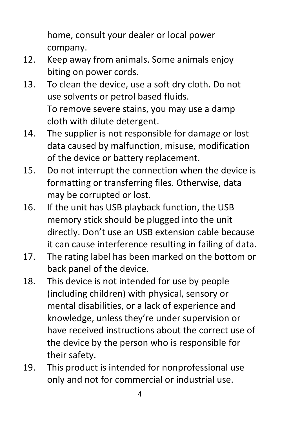home, consult your dealer or local power company.

- 12. Keep away from animals. Some animals enjoy biting on power cords.
- 13. To clean the device, use a soft dry cloth. Do not use solvents or petrol based fluids. To remove severe stains, you may use a damp cloth with dilute detergent.
- 14. The supplier is not responsible for damage or lost data caused by malfunction, misuse, modification of the device or battery replacement.
- 15. Do not interrupt the connection when the device is formatting or transferring files. Otherwise, data may be corrupted or lost.
- 16. If the unit has USB playback function, the USB memory stick should be plugged into the unit directly. Don't use an USB extension cable because it can cause interference resulting in failing of data.
- 17. The rating label has been marked on the bottom or back panel of the device.
- 18. This device is not intended for use by people (including children) with physical, sensory or mental disabilities, or a lack of experience and knowledge, unless they're under supervision or have received instructions about the correct use of the device by the person who is responsible for their safety.
- 19. This product is intended for nonprofessional use only and not for commercial or industrial use.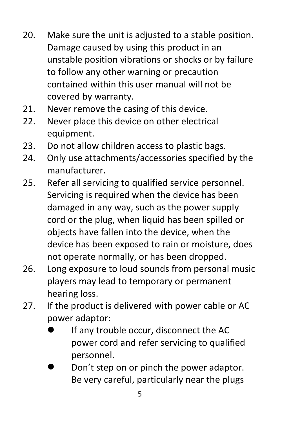- 20. Make sure the unit is adjusted to a stable position. Damage caused by using this product in an unstable position vibrations or shocks or by failure to follow any other warning or precaution contained within this user manual will not be covered by warranty.
- 21. Never remove the casing of this device.
- 22. Never place this device on other electrical equipment.
- 23. Do not allow children access to plastic bags.
- 24. Only use attachments/accessories specified by the manufacturer.
- 25. Refer all servicing to qualified service personnel. Servicing is required when the device has been damaged in any way, such as the power supply cord or the plug, when liquid has been spilled or objects have fallen into the device, when the device has been exposed to rain or moisture, does not operate normally, or has been dropped.
- 26. Long exposure to loud sounds from personal music players may lead to temporary or permanent hearing loss.
- 27. If the product is delivered with power cable or AC power adaptor:
	- ⚫ If any trouble occur, disconnect the AC power cord and refer servicing to qualified personnel.
	- ⚫ Don't step on or pinch the power adaptor. Be very careful, particularly near the plugs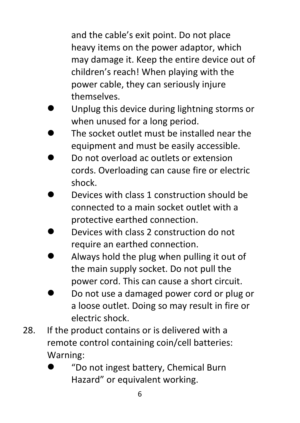and the cable's exit point. Do not place heavy items on the power adaptor, which may damage it. Keep the entire device out of children's reach! When playing with the power cable, they can seriously injure themselves.

- ⚫ Unplug this device during lightning storms or when unused for a long period.
- ⚫ The socket outlet must be installed near the equipment and must be easily accessible.
- ⚫ Do not overload ac outlets or extension cords. Overloading can cause fire or electric shock.
- ⚫ Devices with class 1 construction should be connected to a main socket outlet with a protective earthed connection.
- ⚫ Devices with class 2 construction do not require an earthed connection.
- ⚫ Always hold the plug when pulling it out of the main supply socket. Do not pull the power cord. This can cause a short circuit.
- ⚫ Do not use a damaged power cord or plug or a loose outlet. Doing so may result in fire or electric shock.
- 28. If the product contains or is delivered with a remote control containing coin/cell batteries: Warning:
	- ⚫ "Do not ingest battery, Chemical Burn Hazard" or equivalent working.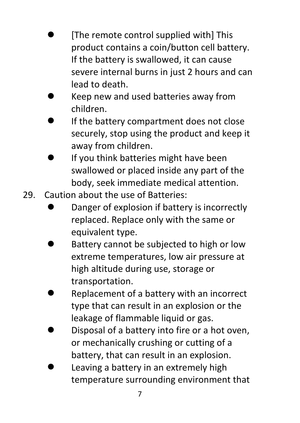- ⚫ [The remote control supplied with] This product contains a coin/button cell battery. If the battery is swallowed, it can cause severe internal burns in just 2 hours and can lead to death.
- ⚫ Keep new and used batteries away from children.
- ⚫ If the battery compartment does not close securely, stop using the product and keep it away from children.
- ⚫ If you think batteries might have been swallowed or placed inside any part of the body, seek immediate medical attention.
- 29. Caution about the use of Batteries:
	- ⚫ Danger of explosion if battery is incorrectly replaced. Replace only with the same or equivalent type.
	- ⚫ Battery cannot be subjected to high or low extreme temperatures, low air pressure at high altitude during use, storage or transportation.
	- ⚫ Replacement of a battery with an incorrect type that can result in an explosion or the leakage of flammable liquid or gas.
	- ⚫ Disposal of a battery into fire or a hot oven, or mechanically crushing or cutting of a battery, that can result in an explosion.
	- ⚫ Leaving a battery in an extremely high temperature surrounding environment that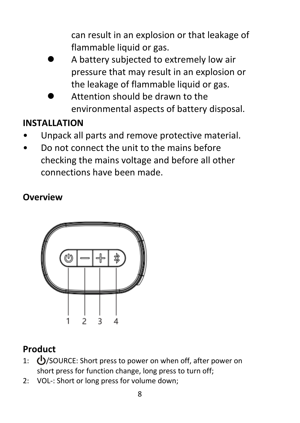can result in an explosion or that leakage of flammable liquid or gas.

- ⚫ A battery subjected to extremely low air pressure that may result in an explosion or the leakage of flammable liquid or gas.
- ⚫ Attention should be drawn to the environmental aspects of battery disposal.

## **INSTALLATION**

- Unpack all parts and remove protective material.
- Do not connect the unit to the mains before checking the mains voltage and before all other connections have been made.

## **Overview**



## **Product**

- 1: (<sup>I</sup>)/SOURCE: Short press to power on when off, after power on short press for function change, long press to turn off;
- 2: VOL-: Short or long press for volume down;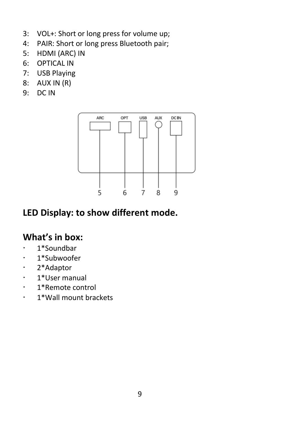- 3: VOL+: Short or long press for volume up;
- 4: PAIR: Short or long press Bluetooth pair;
- 5: HDMI (ARC) IN
- 6: OPTICAL IN
- 7: USB Playing
- 8: AUX IN (R)
- 9: DC IN



## **LED Display: to show different mode.**

## **What's in box:**

- 1\*Soundbar
- · 1\*Subwoofer
- 2\*Adaptor
- 1\*User manual
- 1\*Remote control
- 1\*Wall mount brackets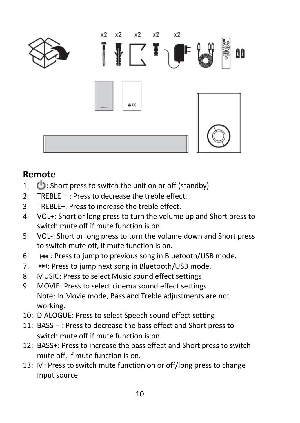

## **Remote**

- 1:  $\bigcirc$ : Short press to switch the unit on or off (standby)
- 2: TREBLE–: Press to decrease the treble effect.
- 3: TREBLE+: Press to increase the treble effect.
- 4: VOL+: Short or long press to turn the volume up and Short press to switch mute off if mute function is on.
- 5: VOL-: Short or long press to turn the volume down and Short press to switch mute off, if mute function is on.
- 6: : Press to jump to previous song in Bluetooth/USB mode.
- 7: PH: Press to jump next song in Bluetooth/USB mode.
- 8: MUSIC: Press to select Music sound effect settings
- 9: MOVIE: Press to select cinema sound effect settings Note: In Movie mode, Bass and Treble adjustments are not working.
- 10: DIALOGUE: Press to select Speech sound effect setting
- 11: BASS–: Press to decrease the bass effect and Short press to switch mute off if mute function is on.
- 12: BASS+: Press to increase the bass effect and Short press to switch mute off, if mute function is on.
- 13: M: Press to switch mute function on or off/long press to change Input source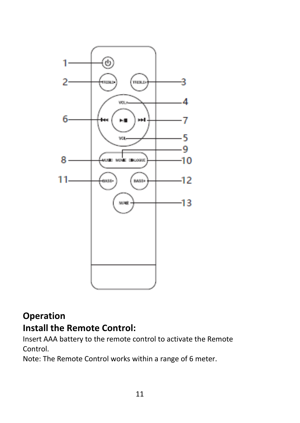

## **Operation**

## **Install the Remote Control:**

Insert AAA battery to the remote control to activate the Remote Control.

Note: The Remote Control works within a range of 6 meter.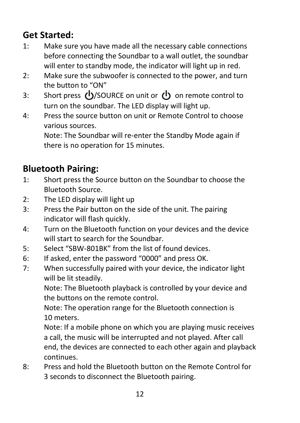## **Get Started:**

- 1: Make sure you have made all the necessary cable connections before connecting the Soundbar to a wall outlet, the soundbar will enter to standby mode, the indicator will light up in red.
- 2: Make sure the subwoofer is connected to the power, and turn the button to "ON"
- 3: Short press **(b**/SOURCE on unit or (b) on remote control to turn on the soundbar. The LED display will light up.
- 4: Press the source button on unit or Remote Control to choose various sources.

Note: The Soundbar will re-enter the Standby Mode again if there is no operation for 15 minutes.

## **Bluetooth Pairing:**

- 1: Short press the Source button on the Soundbar to choose the Bluetooth Source.
- 2: The LED display will light up
- 3: Press the Pair button on the side of the unit. The pairing indicator will flash quickly.
- 4: Turn on the Bluetooth function on your devices and the device will start to search for the Soundbar.
- 5: Select "SBW-801BK" from the list of found devices.
- 6: If asked, enter the password "0000" and press OK.
- 7: When successfully paired with your device, the indicator light will be lit steadily.

Note: The Bluetooth playback is controlled by your device and the buttons on the remote control.

Note: The operation range for the Bluetooth connection is 10 meters.

Note: If a mobile phone on which you are playing music receives a call, the music will be interrupted and not played. After call end, the devices are connected to each other again and playback continues.

8: Press and hold the Bluetooth button on the Remote Control for 3 seconds to disconnect the Bluetooth pairing.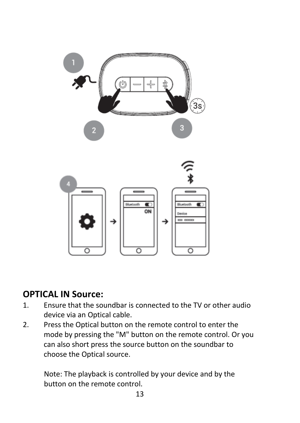

## **OPTICAL IN Source:**

- 1. Ensure that the soundbar is connected to the TV or other audio device via an Optical cable.
- 2. Press the Optical button on the remote control to enter the mode by pressing the "M" button on the remote control. Or you can also short press the source button on the soundbar to choose the Optical source.

Note: The playback is controlled by your device and by the button on the remote control.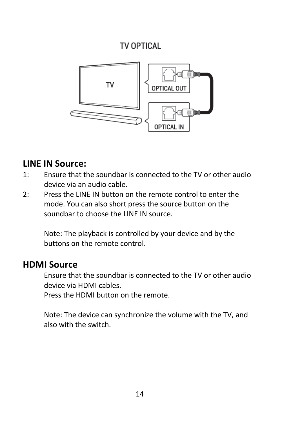## TV OPTICAL



## **LINE IN Source:**

- 1: Ensure that the soundbar is connected to the TV or other audio device via an audio cable.
- 2: Press the LINE IN button on the remote control to enter the mode. You can also short press the source button on the soundbar to choose the LINE IN source.

Note: The playback is controlled by your device and by the buttons on the remote control.

## **HDMI Source**

Ensure that the soundbar is connected to the TV or other audio device via HDMI cables.

Press the HDMI button on the remote.

Note: The device can synchronize the volume with the TV, and also with the switch.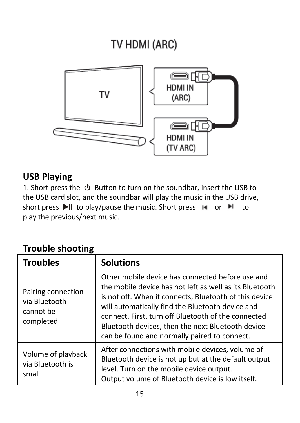# TV HDMI (ARC)



## **USB Playing**

1. Short press the  $\circledcirc$  Button to turn on the soundbar, insert the USB to the USB card slot, and the soundbar will play the music in the USB drive, short press  $\blacktriangleright$  to play/pause the music. Short press  $\blacktriangleright$  or  $\blacktriangleright$  to play the previous/next music.

| <b>Trouble shooting</b> |  |  |  |
|-------------------------|--|--|--|
|-------------------------|--|--|--|

| <b>Troubles</b>                                               | <b>Solutions</b>                                                                                                                                                                                                                                                                                                                                                                      |
|---------------------------------------------------------------|---------------------------------------------------------------------------------------------------------------------------------------------------------------------------------------------------------------------------------------------------------------------------------------------------------------------------------------------------------------------------------------|
| Pairing connection<br>via Bluetooth<br>cannot be<br>completed | Other mobile device has connected before use and<br>the mobile device has not left as well as its Bluetooth<br>is not off. When it connects, Bluetooth of this device<br>will automatically find the Bluetooth device and<br>connect. First, turn off Bluetooth of the connected<br>Bluetooth devices, then the next Bluetooth device<br>can be found and normally paired to connect. |
| Volume of playback<br>via Bluetooth is<br>small               | After connections with mobile devices, volume of<br>Bluetooth device is not up but at the default output<br>level. Turn on the mobile device output.<br>Output volume of Bluetooth device is low itself.                                                                                                                                                                              |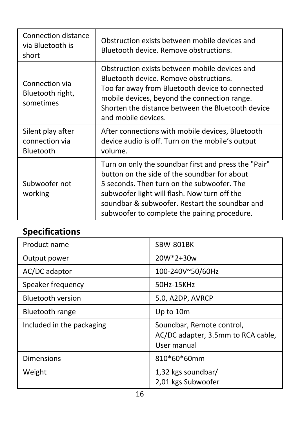| Connection distance<br>via Bluetooth is<br>short | Obstruction exists between mobile devices and<br>Bluetooth device. Remove obstructions.                                                                                                                                                                                                              |
|--------------------------------------------------|------------------------------------------------------------------------------------------------------------------------------------------------------------------------------------------------------------------------------------------------------------------------------------------------------|
| Connection via<br>Bluetooth right,<br>sometimes  | Obstruction exists between mobile devices and<br>Bluetooth device. Remove obstructions.<br>Too far away from Bluetooth device to connected<br>mobile devices, beyond the connection range.<br>Shorten the distance between the Bluetooth device<br>and mobile devices.                               |
| Silent play after<br>connection via<br>Bluetooth | After connections with mobile devices, Bluetooth<br>device audio is off. Turn on the mobile's output<br>volume.                                                                                                                                                                                      |
| Subwoofer not<br>working                         | Turn on only the soundbar first and press the "Pair"<br>button on the side of the soundbar for about<br>5 seconds. Then turn on the subwoofer. The<br>subwoofer light will flash. Now turn off the<br>soundbar & subwoofer. Restart the soundbar and<br>subwoofer to complete the pairing procedure. |

## **Specifications**

| Product name              | SBW-801BK                                                                      |
|---------------------------|--------------------------------------------------------------------------------|
| Output power              | $20W*2+30w$                                                                    |
| AC/DC adaptor             | 100-240V~50/60Hz                                                               |
| Speaker frequency         | 50Hz-15KHz                                                                     |
| <b>Bluetooth version</b>  | 5.0, A2DP, AVRCP                                                               |
| Bluetooth range           | Up to 10m                                                                      |
| Included in the packaging | Soundbar, Remote control,<br>AC/DC adapter, 3.5mm to RCA cable,<br>User manual |
| Dimensions                | 810*60*60mm                                                                    |
| Weight                    | 1,32 kgs soundbar/<br>2,01 kgs Subwoofer                                       |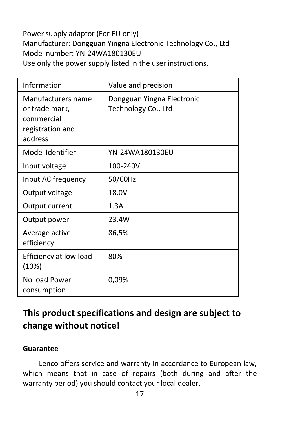Power supply adaptor (For EU only) Manufacturer: Dongguan Yingna Electronic Technology Co., Ltd Model number: YN-24WA180130EU Use only the power supply listed in the user instructions.

| Information                                                                       | Value and precision                               |
|-----------------------------------------------------------------------------------|---------------------------------------------------|
| Manufacturers name<br>or trade mark,<br>commercial<br>registration and<br>address | Dongguan Yingna Electronic<br>Technology Co., Ltd |
| Model Identifier                                                                  | YN-24WA180130EU                                   |
| Input voltage                                                                     | 100-240V                                          |
| Input AC frequency                                                                | 50/60Hz                                           |
| Output voltage                                                                    | 18.0V                                             |
| Output current                                                                    | 1.3A                                              |
| Output power                                                                      | 23,4W                                             |
| Average active<br>efficiency                                                      | 86,5%                                             |
| Efficiency at low load<br>(10%)                                                   | 80%                                               |
| No load Power<br>consumption                                                      | 0,09%                                             |

## **This product specifications and design are subject to change without notice!**

#### **Guarantee**

Lenco offers service and warranty in accordance to European law, which means that in case of repairs (both during and after the warranty period) you should contact your local dealer.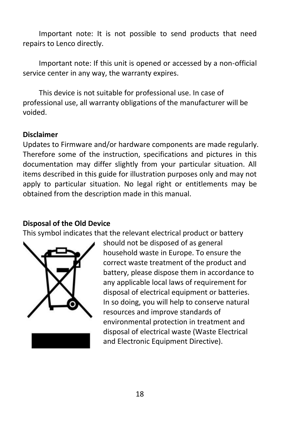Important note: It is not possible to send products that need repairs to Lenco directly.

Important note: If this unit is opened or accessed by a non-official service center in any way, the warranty expires.

This device is not suitable for professional use. In case of professional use, all warranty obligations of the manufacturer will be voided.

#### **Disclaimer**

Updates to Firmware and/or hardware components are made regularly. Therefore some of the instruction, specifications and pictures in this documentation may differ slightly from your particular situation. All items described in this guide for illustration purposes only and may not apply to particular situation. No legal right or entitlements may be obtained from the description made in this manual.

#### **Disposal of the Old Device**

This symbol indicates that the relevant electrical product or battery



should not be disposed of as general household waste in Europe. To ensure the correct waste treatment of the product and battery, please dispose them in accordance to any applicable local laws of requirement for disposal of electrical equipment or batteries. In so doing, you will help to conserve natural resources and improve standards of environmental protection in treatment and disposal of electrical waste (Waste Electrical and Electronic Equipment Directive).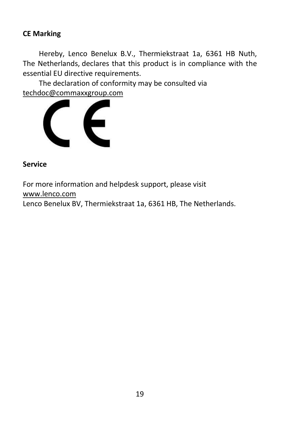#### **CE Marking**

Hereby, Lenco Benelux B.V., Thermiekstraat 1a, 6361 HB Nuth, The Netherlands, declares that this product is in compliance with the essential EU directive requirements.

The declaration of conformity may be consulted via [techdoc@commaxxgroup.com](mailto:techdoc@commaxxgroup.com)



#### **Service**

For more information and helpdesk support, please visit [www.lenco.com](http://www.lenco.com/) Lenco Benelux BV, Thermiekstraat 1a, 6361 HB, The Netherlands.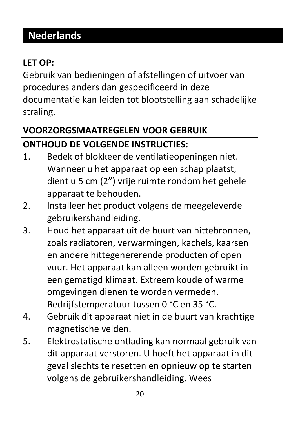# <span id="page-20-0"></span>**Nederlands**

## **LET OP:**

Gebruik van bedieningen of afstellingen of uitvoer van procedures anders dan gespecificeerd in deze documentatie kan leiden tot blootstelling aan schadelijke straling.

## **VOORZORGSMAATREGELEN VOOR GEBRUIK ONTHOUD DE VOLGENDE INSTRUCTIES:**

- 1. Bedek of blokkeer de ventilatieopeningen niet. Wanneer u het apparaat op een schap plaatst, dient u 5 cm (2") vrije ruimte rondom het gehele apparaat te behouden.
- 2. Installeer het product volgens de meegeleverde gebruikershandleiding.
- 3. Houd het apparaat uit de buurt van hittebronnen, zoals radiatoren, verwarmingen, kachels, kaarsen en andere hittegenererende producten of open vuur. Het apparaat kan alleen worden gebruikt in een gematigd klimaat. Extreem koude of warme omgevingen dienen te worden vermeden. Bedrijfstemperatuur tussen 0 °C en 35 °C.
- 4. Gebruik dit apparaat niet in de buurt van krachtige magnetische velden.
- 5. Elektrostatische ontlading kan normaal gebruik van dit apparaat verstoren. U hoeft het apparaat in dit geval slechts te resetten en opnieuw op te starten volgens de gebruikershandleiding. Wees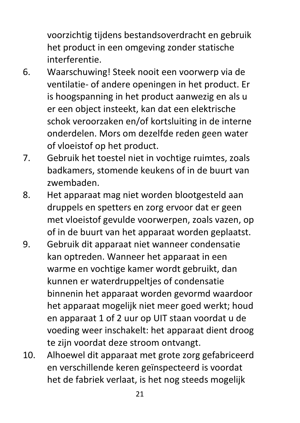voorzichtig tijdens bestandsoverdracht en gebruik het product in een omgeving zonder statische interferentie.

- 6. Waarschuwing! Steek nooit een voorwerp via de ventilatie- of andere openingen in het product. Er is hoogspanning in het product aanwezig en als u er een object insteekt, kan dat een elektrische schok veroorzaken en/of kortsluiting in de interne onderdelen. Mors om dezelfde reden geen water of vloeistof op het product.
- 7. Gebruik het toestel niet in vochtige ruimtes, zoals badkamers, stomende keukens of in de buurt van zwembaden.
- 8. Het apparaat mag niet worden blootgesteld aan druppels en spetters en zorg ervoor dat er geen met vloeistof gevulde voorwerpen, zoals vazen, op of in de buurt van het apparaat worden geplaatst.
- 9. Gebruik dit apparaat niet wanneer condensatie kan optreden. Wanneer het apparaat in een warme en vochtige kamer wordt gebruikt, dan kunnen er waterdruppeltjes of condensatie binnenin het apparaat worden gevormd waardoor het apparaat mogelijk niet meer goed werkt; houd en apparaat 1 of 2 uur op UIT staan voordat u de voeding weer inschakelt: het apparaat dient droog te zijn voordat deze stroom ontvangt.
- 10. Alhoewel dit apparaat met grote zorg gefabriceerd en verschillende keren geïnspecteerd is voordat het de fabriek verlaat, is het nog steeds mogelijk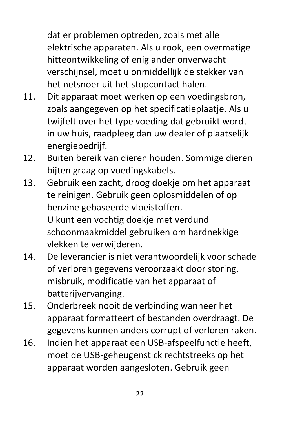dat er problemen optreden, zoals met alle elektrische apparaten. Als u rook, een overmatige hitteontwikkeling of enig ander onverwacht verschijnsel, moet u onmiddellijk de stekker van het netsnoer uit het stopcontact halen.

- 11. Dit apparaat moet werken op een voedingsbron, zoals aangegeven op het specificatieplaatje. Als u twijfelt over het type voeding dat gebruikt wordt in uw huis, raadpleeg dan uw dealer of plaatselijk energiebedrijf.
- 12. Buiten bereik van dieren houden. Sommige dieren bijten graag op voedingskabels.
- 13. Gebruik een zacht, droog doekje om het apparaat te reinigen. Gebruik geen oplosmiddelen of op benzine gebaseerde vloeistoffen. U kunt een vochtig doekje met verdund schoonmaakmiddel gebruiken om hardnekkige vlekken te verwijderen.
- 14. De leverancier is niet verantwoordelijk voor schade of verloren gegevens veroorzaakt door storing, misbruik, modificatie van het apparaat of batterijvervanging.
- 15. Onderbreek nooit de verbinding wanneer het apparaat formatteert of bestanden overdraagt. De gegevens kunnen anders corrupt of verloren raken.
- 16. Indien het apparaat een USB-afspeelfunctie heeft, moet de USB-geheugenstick rechtstreeks op het apparaat worden aangesloten. Gebruik geen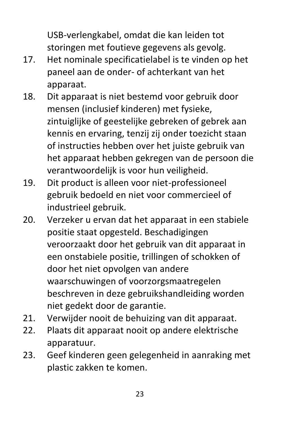USB-verlengkabel, omdat die kan leiden tot storingen met foutieve gegevens als gevolg.

- 17. Het nominale specificatielabel is te vinden op het paneel aan de onder- of achterkant van het apparaat.
- 18. Dit apparaat is niet bestemd voor gebruik door mensen (inclusief kinderen) met fysieke, zintuiglijke of geestelijke gebreken of gebrek aan kennis en ervaring, tenzij zij onder toezicht staan of instructies hebben over het juiste gebruik van het apparaat hebben gekregen van de persoon die verantwoordelijk is voor hun veiligheid.
- 19. Dit product is alleen voor niet-professioneel gebruik bedoeld en niet voor commercieel of industrieel gebruik.
- 20. Verzeker u ervan dat het apparaat in een stabiele positie staat opgesteld. Beschadigingen veroorzaakt door het gebruik van dit apparaat in een onstabiele positie, trillingen of schokken of door het niet opvolgen van andere waarschuwingen of voorzorgsmaatregelen beschreven in deze gebruikshandleiding worden niet gedekt door de garantie.
- 21. Verwijder nooit de behuizing van dit apparaat.
- 22. Plaats dit apparaat nooit op andere elektrische apparatuur.
- 23. Geef kinderen geen gelegenheid in aanraking met plastic zakken te komen.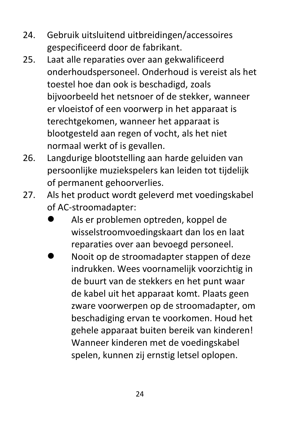- 24. Gebruik uitsluitend uitbreidingen/accessoires gespecificeerd door de fabrikant.
- 25. Laat alle reparaties over aan gekwalificeerd onderhoudspersoneel. Onderhoud is vereist als het toestel hoe dan ook is beschadigd, zoals bijvoorbeeld het netsnoer of de stekker, wanneer er vloeistof of een voorwerp in het apparaat is terechtgekomen, wanneer het apparaat is blootgesteld aan regen of vocht, als het niet normaal werkt of is gevallen.
- 26. Langdurige blootstelling aan harde geluiden van persoonlijke muziekspelers kan leiden tot tijdelijk of permanent gehoorverlies.
- 27. Als het product wordt geleverd met voedingskabel of AC-stroomadapter:
	- ⚫ Als er problemen optreden, koppel de wisselstroomvoedingskaart dan los en laat reparaties over aan bevoegd personeel.
	- ⚫ Nooit op de stroomadapter stappen of deze indrukken. Wees voornamelijk voorzichtig in de buurt van de stekkers en het punt waar de kabel uit het apparaat komt. Plaats geen zware voorwerpen op de stroomadapter, om beschadiging ervan te voorkomen. Houd het gehele apparaat buiten bereik van kinderen! Wanneer kinderen met de voedingskabel spelen, kunnen zij ernstig letsel oplopen.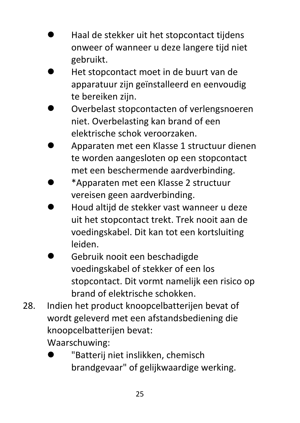- ⚫ Haal de stekker uit het stopcontact tijdens onweer of wanneer u deze langere tijd niet gebruikt.
- ⚫ Het stopcontact moet in de buurt van de apparatuur zijn geïnstalleerd en eenvoudig te bereiken zijn.
- ⚫ Overbelast stopcontacten of verlengsnoeren niet. Overbelasting kan brand of een elektrische schok veroorzaken.
- ⚫ Apparaten met een Klasse 1 structuur dienen te worden aangesloten op een stopcontact met een beschermende aardverbinding.
- ⚫ \*Apparaten met een Klasse 2 structuur vereisen geen aardverbinding.
- ⚫ Houd altijd de stekker vast wanneer u deze uit het stopcontact trekt. Trek nooit aan de voedingskabel. Dit kan tot een kortsluiting leiden.
- ⚫ Gebruik nooit een beschadigde voedingskabel of stekker of een los stopcontact. Dit vormt namelijk een risico op brand of elektrische schokken.
- 28. Indien het product knoopcelbatterijen bevat of wordt geleverd met een afstandsbediening die knoopcelbatterijen bevat: Waarschuwing:
	- ⚫ "Batterij niet inslikken, chemisch brandgevaar" of gelijkwaardige werking.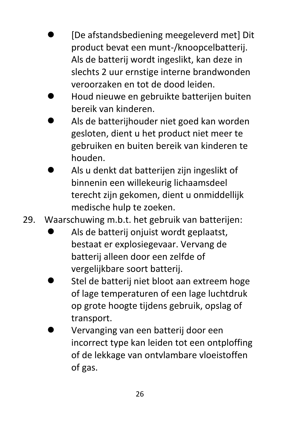- ⚫ [De afstandsbediening meegeleverd met] Dit product bevat een munt-/knoopcelbatterij. Als de batterij wordt ingeslikt, kan deze in slechts 2 uur ernstige interne brandwonden veroorzaken en tot de dood leiden.
- ⚫ Houd nieuwe en gebruikte batterijen buiten bereik van kinderen.
- ⚫ Als de batterijhouder niet goed kan worden gesloten, dient u het product niet meer te gebruiken en buiten bereik van kinderen te houden.
- ⚫ Als u denkt dat batterijen zijn ingeslikt of binnenin een willekeurig lichaamsdeel terecht zijn gekomen, dient u onmiddellijk medische hulp te zoeken.
- 29. Waarschuwing m.b.t. het gebruik van batterijen:
	- ⚫ Als de batterij onjuist wordt geplaatst, bestaat er explosiegevaar. Vervang de batterij alleen door een zelfde of vergelijkbare soort batterij.
	- ⚫ Stel de batterij niet bloot aan extreem hoge of lage temperaturen of een lage luchtdruk op grote hoogte tijdens gebruik, opslag of transport.
	- ⚫ Vervanging van een batterij door een incorrect type kan leiden tot een ontploffing of de lekkage van ontvlambare vloeistoffen of gas.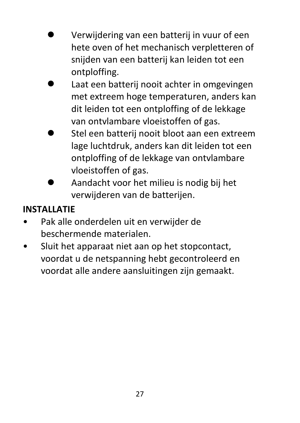- ⚫ Verwijdering van een batterij in vuur of een hete oven of het mechanisch verpletteren of snijden van een batterij kan leiden tot een ontploffing.
- ⚫ Laat een batterij nooit achter in omgevingen met extreem hoge temperaturen, anders kan dit leiden tot een ontploffing of de lekkage van ontvlambare vloeistoffen of gas.
- ⚫ Stel een batterij nooit bloot aan een extreem lage luchtdruk, anders kan dit leiden tot een ontploffing of de lekkage van ontvlambare vloeistoffen of gas.
- ⚫ Aandacht voor het milieu is nodig bij het verwijderen van de batterijen.

## **INSTALLATIE**

- Pak alle onderdelen uit en verwijder de beschermende materialen.
- Sluit het apparaat niet aan op het stopcontact, voordat u de netspanning hebt gecontroleerd en voordat alle andere aansluitingen zijn gemaakt.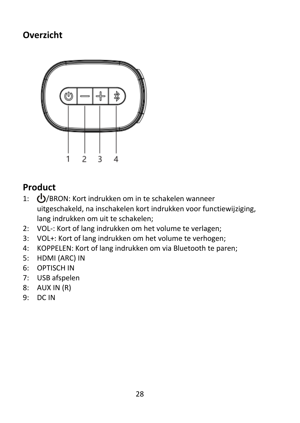## **Overzicht**



## **Product**

- 1: (<sup>1</sup>)/BRON: Kort indrukken om in te schakelen wanneer uitgeschakeld, na inschakelen kort indrukken voor functiewijziging, lang indrukken om uit te schakelen;
- 2: VOL-: Kort of lang indrukken om het volume te verlagen;
- 3: VOL+: Kort of lang indrukken om het volume te verhogen;
- 4: KOPPELEN: Kort of lang indrukken om via Bluetooth te paren;
- 5: HDMI (ARC) IN
- 6: OPTISCH IN
- 7: USB afspelen
- 8: AUX IN (R)
- 9: DC IN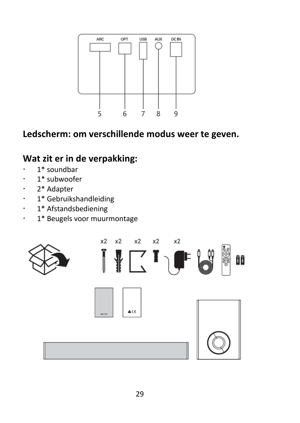

## **Ledscherm: om verschillende modus weer te geven.**

## **Wat zit er in de verpakking:**

- $\cdot$  1\* soundbar
- $\cdot$  1\* subwoofer
- 2\* Adapter
- 1\* Gebruikshandleiding
- 1\* Afstandsbediening
- 1\* Beugels voor muurmontage

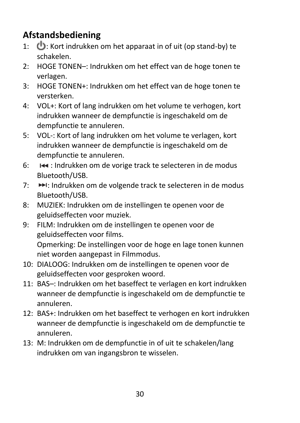## **Afstandsbediening**

- 1:  $\bigoplus$ : Kort indrukken om het apparaat in of uit (op stand-by) te schakelen.
- 2: HOGE TONEN–: Indrukken om het effect van de hoge tonen te verlagen.
- 3: HOGE TONEN+: Indrukken om het effect van de hoge tonen te versterken.
- 4: VOL+: Kort of lang indrukken om het volume te verhogen, kort indrukken wanneer de dempfunctie is ingeschakeld om de dempfunctie te annuleren.
- 5: VOL-: Kort of lang indrukken om het volume te verlagen, kort indrukken wanneer de dempfunctie is ingeschakeld om de dempfunctie te annuleren.
- 6: **I+** : Indrukken om de vorige track te selecteren in de modus Bluetooth/USB.
- 7:  $\rightarrow$  i: Indrukken om de volgende track te selecteren in de modus Bluetooth/USB.
- 8: MUZIEK: Indrukken om de instellingen te openen voor de geluidseffecten voor muziek.
- 9: FILM: Indrukken om de instellingen te openen voor de geluidseffecten voor films.

Opmerking: De instellingen voor de hoge en lage tonen kunnen niet worden aangepast in Filmmodus.

- 10: DIALOOG: Indrukken om de instellingen te openen voor de geluidseffecten voor gesproken woord.
- 11: BAS–: Indrukken om het baseffect te verlagen en kort indrukken wanneer de dempfunctie is ingeschakeld om de dempfunctie te annuleren.
- 12: BAS+: Indrukken om het baseffect te verhogen en kort indrukken wanneer de dempfunctie is ingeschakeld om de dempfunctie te annuleren.
- 13: M: Indrukken om de dempfunctie in of uit te schakelen/lang indrukken om van ingangsbron te wisselen.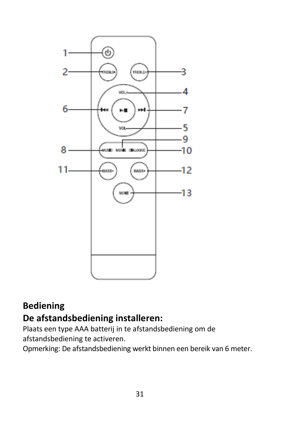

## **Bediening De afstandsbediening installeren:**

Plaats een type AAA batterij in te afstandsbediening om de afstandsbediening te activeren.

Opmerking: De afstandsbediening werkt binnen een bereik van 6 meter.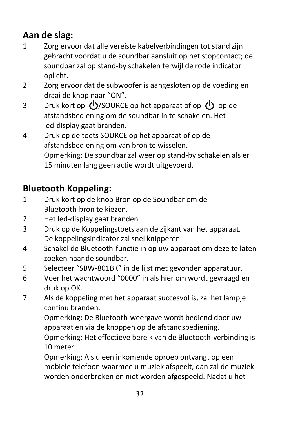## **Aan de slag:**

- 1: Zorg ervoor dat alle vereiste kabelverbindingen tot stand zijn gebracht voordat u de soundbar aansluit op het stopcontact; de soundbar zal op stand-by schakelen terwijl de rode indicator oplicht.
- 2: Zorg ervoor dat de subwoofer is aangesloten op de voeding en draai de knop naar "ON".
- 3: Druk kort op  $\bigcup$ /SOURCE op het apparaat of op  $\bigcup$  op de afstandsbediening om de soundbar in te schakelen. Het led-display gaat branden.
- 4: Druk op de toets SOURCE op het apparaat of op de afstandsbediening om van bron te wisselen. Opmerking: De soundbar zal weer op stand-by schakelen als er 15 minuten lang geen actie wordt uitgevoerd.

## **Bluetooth Koppeling:**

- 1: Druk kort op de knop Bron op de Soundbar om de Bluetooth-bron te kiezen.
- 2: Het led-display gaat branden
- 3: Druk op de Koppelingstoets aan de zijkant van het apparaat. De koppelingsindicator zal snel knipperen.
- 4: Schakel de Bluetooth-functie in op uw apparaat om deze te laten zoeken naar de soundbar.
- 5: Selecteer "SBW-801BK" in de lijst met gevonden apparatuur.
- 6: Voer het wachtwoord "0000" in als hier om wordt gevraagd en druk op OK.
- 7: Als de koppeling met het apparaat succesvol is, zal het lampje continu branden.

Opmerking: De Bluetooth-weergave wordt bediend door uw apparaat en via de knoppen op de afstandsbediening.

Opmerking: Het effectieve bereik van de Bluetooth-verbinding is 10 meter.

Opmerking: Als u een inkomende oproep ontvangt op een mobiele telefoon waarmee u muziek afspeelt, dan zal de muziek worden onderbroken en niet worden afgespeeld. Nadat u het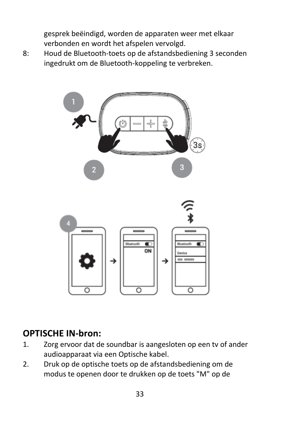gesprek beëindigd, worden de apparaten weer met elkaar verbonden en wordt het afspelen vervolgd.

8: Houd de Bluetooth-toets op de afstandsbediening 3 seconden ingedrukt om de Bluetooth-koppeling te verbreken.



## **OPTISCHE IN-bron:**

- 1. Zorg ervoor dat de soundbar is aangesloten op een tv of ander audioapparaat via een Optische kabel.
- 2. Druk op de optische toets op de afstandsbediening om de modus te openen door te drukken op de toets "M" op de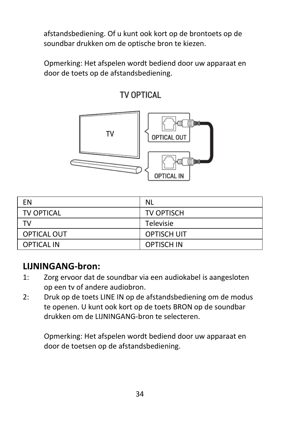afstandsbediening. Of u kunt ook kort op de brontoets op de soundbar drukken om de optische bron te kiezen.

Opmerking: Het afspelen wordt bediend door uw apparaat en door de toets op de afstandsbediening.

TV OPTICAL



| EN                | <b>NL</b>          |
|-------------------|--------------------|
| TV OPTICAL        | TV OPTISCH         |
| тv                | Televisie          |
| OPTICAL OUT       | <b>OPTISCH UIT</b> |
| <b>OPTICAL IN</b> | OPTISCH IN         |

## **LIJNINGANG-bron:**

- 1: Zorg ervoor dat de soundbar via een audiokabel is aangesloten op een tv of andere audiobron.
- 2: Druk op de toets LINE IN op de afstandsbediening om de modus te openen. U kunt ook kort op de toets BRON op de soundbar drukken om de LIJNINGANG-bron te selecteren.

Opmerking: Het afspelen wordt bediend door uw apparaat en door de toetsen op de afstandsbediening.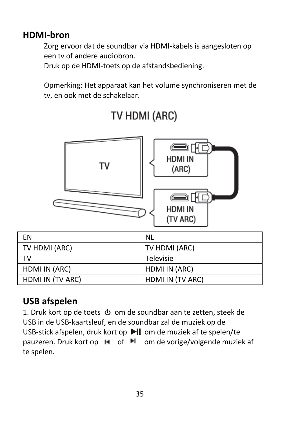## **HDMI-bron**

Zorg ervoor dat de soundbar via HDMI-kabels is aangesloten op een tv of andere audiobron.

Druk op de HDMI-toets op de afstandsbediening.

Opmerking: Het apparaat kan het volume synchroniseren met de tv, en ook met de schakelaar.



# TV HDMI (ARC)

## **USB afspelen**

1. Druk kort op de toets  $\Phi$  om de soundbar aan te zetten, steek de USB in de USB-kaartsleuf, en de soundbar zal de muziek op de USB-stick afspelen, druk kort op ▶ om de muziek af te spelen/te pauzeren. Druk kort op  $\blacksquare$  of  $\blacksquare$  om de vorige/volgende muziek af te spelen.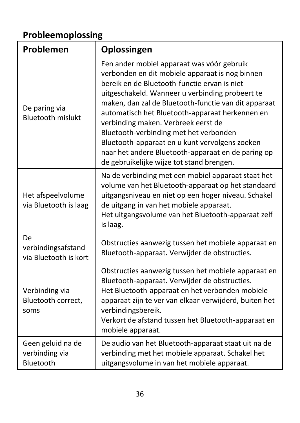# **Probleemoplossing**

| Problemen                                                | Oplossingen                                                                                                                                                                                                                                                                                                                                                                                                                                                                                                                                       |
|----------------------------------------------------------|---------------------------------------------------------------------------------------------------------------------------------------------------------------------------------------------------------------------------------------------------------------------------------------------------------------------------------------------------------------------------------------------------------------------------------------------------------------------------------------------------------------------------------------------------|
| De paring via<br><b>Bluetooth mislukt</b>                | Een ander mobiel apparaat was vóór gebruik<br>verbonden en dit mobiele apparaat is nog binnen<br>bereik en de Bluetooth-functie ervan is niet<br>uitgeschakeld. Wanneer u verbinding probeert te<br>maken, dan zal de Bluetooth-functie van dit apparaat<br>automatisch het Bluetooth-apparaat herkennen en<br>verbinding maken. Verbreek eerst de<br>Bluetooth-verbinding met het verbonden<br>Bluetooth-apparaat en u kunt vervolgens zoeken<br>naar het andere Bluetooth-apparaat en de paring op<br>de gebruikelijke wijze tot stand brengen. |
| Het afspeelvolume<br>via Bluetooth is laag               | Na de verbinding met een mobiel apparaat staat het<br>volume van het Bluetooth-apparaat op het standaard<br>uitgangsniveau en niet op een hoger niveau. Schakel<br>de uitgang in van het mobiele apparaat.<br>Het uitgangsvolume van het Bluetooth-apparaat zelf<br>is laag.                                                                                                                                                                                                                                                                      |
| <b>De</b><br>verbindingsafstand<br>via Bluetooth is kort | Obstructies aanwezig tussen het mobiele apparaat en<br>Bluetooth-apparaat. Verwijder de obstructies.                                                                                                                                                                                                                                                                                                                                                                                                                                              |
| Verbinding via<br>Bluetooth correct,<br>soms             | Obstructies aanwezig tussen het mobiele apparaat en<br>Bluetooth-apparaat. Verwijder de obstructies.<br>Het Bluetooth-apparaat en het verbonden mobiele<br>apparaat zijn te ver van elkaar verwijderd, buiten het<br>verbindingsbereik.<br>Verkort de afstand tussen het Bluetooth-apparaat en<br>mobiele apparaat.                                                                                                                                                                                                                               |
| Geen geluid na de<br>verbinding via<br>Bluetooth         | De audio van het Bluetooth-apparaat staat uit na de<br>verbinding met het mobiele apparaat. Schakel het<br>uitgangsvolume in van het mobiele apparaat.                                                                                                                                                                                                                                                                                                                                                                                            |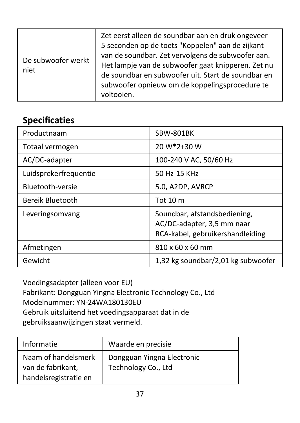| De subwoofer werkt<br>niet | Zet eerst alleen de soundbar aan en druk ongeveer<br>5 seconden op de toets "Koppelen" aan de zijkant<br>van de soundbar. Zet vervolgens de subwoofer aan.<br>Het lampje van de subwoofer gaat knipperen. Zet nu<br>de soundbar en subwoofer uit. Start de soundbar en<br>subwoofer opnieuw om de koppelingsprocedure te<br>voltooien. |
|----------------------------|----------------------------------------------------------------------------------------------------------------------------------------------------------------------------------------------------------------------------------------------------------------------------------------------------------------------------------------|
|----------------------------|----------------------------------------------------------------------------------------------------------------------------------------------------------------------------------------------------------------------------------------------------------------------------------------------------------------------------------------|

### **Specificaties**

| Productnaam           | SBW-801BK                                                                                      |
|-----------------------|------------------------------------------------------------------------------------------------|
| Totaal vermogen       | 20 W*2+30 W                                                                                    |
| AC/DC-adapter         | 100-240 V AC, 50/60 Hz                                                                         |
| Luidsprekerfrequentie | 50 Hz-15 KHz                                                                                   |
| Bluetooth-versie      | 5.0, A2DP, AVRCP                                                                               |
| Bereik Bluetooth      | Tot $10m$                                                                                      |
| Leveringsomvang       | Soundbar, afstandsbediening,<br>AC/DC-adapter, 3,5 mm naar<br>RCA-kabel, gebruikershandleiding |
| Afmetingen            | 810 x 60 x 60 mm                                                                               |
| Gewicht               | 1,32 kg soundbar/2,01 kg subwoofer                                                             |

Voedingsadapter (alleen voor EU) Fabrikant: Dongguan Yingna Electronic Technology Co., Ltd Modelnummer: YN-24WA180130EU Gebruik uitsluitend het voedingsapparaat dat in de gebruiksaanwijzingen staat vermeld.

| Informatie                                                        | Waarde en precisie                                |
|-------------------------------------------------------------------|---------------------------------------------------|
| Naam of handelsmerk<br>van de fabrikant,<br>handelsregistratie en | Dongguan Yingna Electronic<br>Technology Co., Ltd |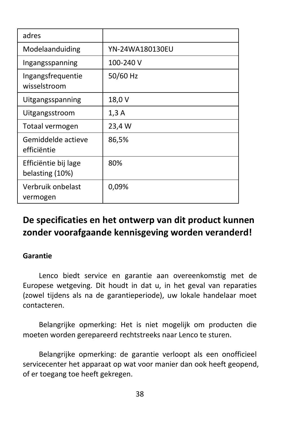| adres                                   |                 |
|-----------------------------------------|-----------------|
| Modelaanduiding                         | YN-24WA180130EU |
| Ingangsspanning                         | 100-240 V       |
| Ingangsfrequentie<br>wisselstroom       | 50/60 Hz        |
| Uitgangsspanning                        | 18,0 V          |
| Uitgangsstroom                          | 1,3A            |
| Totaal vermogen                         | 23,4 W          |
| Gemiddelde actieve<br>efficiëntie       | 86,5%           |
| Efficiëntie bij lage<br>belasting (10%) | 80%             |
| Verbruik onbelast<br>vermogen           | 0,09%           |

### **De specificaties en het ontwerp van dit product kunnen zonder voorafgaande kennisgeving worden veranderd!**

#### **Garantie**

Lenco biedt service en garantie aan overeenkomstig met de Europese wetgeving. Dit houdt in dat u, in het geval van reparaties (zowel tijdens als na de garantieperiode), uw lokale handelaar moet contacteren.

Belangrijke opmerking: Het is niet mogelijk om producten die moeten worden gerepareerd rechtstreeks naar Lenco te sturen.

Belangrijke opmerking: de garantie verloopt als een onofficieel servicecenter het apparaat op wat voor manier dan ook heeft geopend, of er toegang toe heeft gekregen.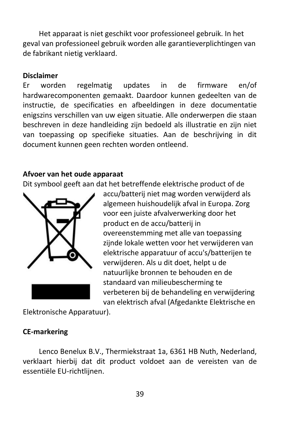Het apparaat is niet geschikt voor professioneel gebruik. In het geval van professioneel gebruik worden alle garantieverplichtingen van de fabrikant nietig verklaard.

#### **Disclaimer**

Er worden regelmatig updates in de firmware en/of hardwarecomponenten gemaakt. Daardoor kunnen gedeelten van de instructie, de specificaties en afbeeldingen in deze documentatie enigszins verschillen van uw eigen situatie. Alle onderwerpen die staan beschreven in deze handleiding zijn bedoeld als illustratie en zijn niet van toepassing op specifieke situaties. Aan de beschrijving in dit document kunnen geen rechten worden ontleend.

#### **Afvoer van het oude apparaat**

Dit symbool geeft aan dat het betreffende elektrische product of de



accu/batterij niet mag worden verwijderd als algemeen huishoudelijk afval in Europa. Zorg voor een juiste afvalverwerking door het product en de accu/batterij in overeenstemming met alle van toepassing zijnde lokale wetten voor het verwijderen van elektrische apparatuur of accu's/batterijen te verwijderen. Als u dit doet, helpt u de natuurlijke bronnen te behouden en de standaard van milieubescherming te verbeteren bij de behandeling en verwijdering van elektrisch afval (Afgedankte Elektrische en

Elektronische Apparatuur).

#### **CE-markering**

Lenco Benelux B.V., Thermiekstraat 1a, 6361 HB Nuth, Nederland, verklaart hierbij dat dit product voldoet aan de vereisten van de essentiële EU-richtlijnen.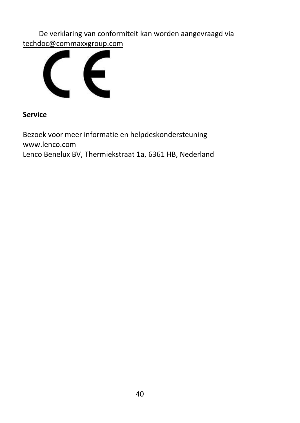De verklaring van conformiteit kan worden aangevraagd via [techdoc@commaxxgroup.com](mailto:techdoc@commaxxgroup.com)



**Service**

Bezoek voor meer informatie en helpdeskondersteuning [www.lenco.com](http://www.lenco.com/) Lenco Benelux BV, Thermiekstraat 1a, 6361 HB, Nederland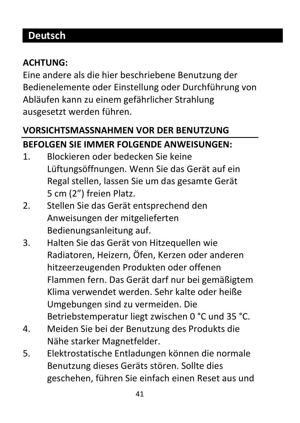# **Deutsch**

#### **ACHTUNG:**

Eine andere als die hier beschriebene Benutzung der Bedienelemente oder Einstellung oder Durchführung von Abläufen kann zu einem gefährlicher Strahlung ausgesetzt werden führen.

# **VORSICHTSMASSNAHMEN VOR DER BENUTZUNG BEFOLGEN SIE IMMER FOLGENDE ANWEISUNGEN:**

- 1. Blockieren oder bedecken Sie keine Lüftungsöffnungen. Wenn Sie das Gerät auf ein Regal stellen, lassen Sie um das gesamte Gerät 5 cm (2") freien Platz.
- 2. Stellen Sie das Gerät entsprechend den Anweisungen der mitgelieferten Bedienungsanleitung auf.
- 3. Halten Sie das Gerät von Hitzequellen wie Radiatoren, Heizern, Öfen, Kerzen oder anderen hitzeerzeugenden Produkten oder offenen Flammen fern. Das Gerät darf nur bei gemäßigtem Klima verwendet werden. Sehr kalte oder heiße Umgebungen sind zu vermeiden. Die Betriebstemperatur liegt zwischen 0 °C und 35 °C.
- 4. Meiden Sie bei der Benutzung des Produkts die Nähe starker Magnetfelder.
- 5. Elektrostatische Entladungen können die normale Benutzung dieses Geräts stören. Sollte dies geschehen, führen Sie einfach einen Reset aus und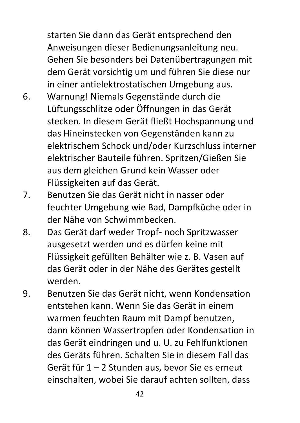starten Sie dann das Gerät entsprechend den Anweisungen dieser Bedienungsanleitung neu. Gehen Sie besonders bei Datenübertragungen mit dem Gerät vorsichtig um und führen Sie diese nur in einer antielektrostatischen Umgebung aus.

- 6. Warnung! Niemals Gegenstände durch die Lüftungsschlitze oder Öffnungen in das Gerät stecken. In diesem Gerät fließt Hochspannung und das Hineinstecken von Gegenständen kann zu elektrischem Schock und/oder Kurzschluss interner elektrischer Bauteile führen. Spritzen/Gießen Sie aus dem gleichen Grund kein Wasser oder Flüssigkeiten auf das Gerät.
- 7. Benutzen Sie das Gerät nicht in nasser oder feuchter Umgebung wie Bad, Dampfküche oder in der Nähe von Schwimmbecken.
- 8. Das Gerät darf weder Tropf- noch Spritzwasser ausgesetzt werden und es dürfen keine mit Flüssigkeit gefüllten Behälter wie z. B. Vasen auf das Gerät oder in der Nähe des Gerätes gestellt werden.
- 9. Benutzen Sie das Gerät nicht, wenn Kondensation entstehen kann. Wenn Sie das Gerät in einem warmen feuchten Raum mit Dampf benutzen, dann können Wassertropfen oder Kondensation in das Gerät eindringen und u. U. zu Fehlfunktionen des Geräts führen. Schalten Sie in diesem Fall das Gerät für 1 – 2 Stunden aus, bevor Sie es erneut einschalten, wobei Sie darauf achten sollten, dass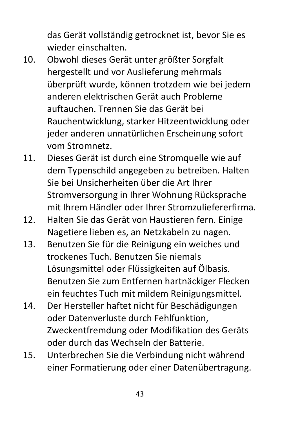das Gerät vollständig getrocknet ist, bevor Sie es wieder einschalten.

- 10. Obwohl dieses Gerät unter größter Sorgfalt hergestellt und vor Auslieferung mehrmals überprüft wurde, können trotzdem wie bei jedem anderen elektrischen Gerät auch Probleme auftauchen. Trennen Sie das Gerät bei Rauchentwicklung, starker Hitzeentwicklung oder jeder anderen unnatürlichen Erscheinung sofort vom Stromnetz.
- 11. Dieses Gerät ist durch eine Stromquelle wie auf dem Typenschild angegeben zu betreiben. Halten Sie bei Unsicherheiten über die Art Ihrer Stromversorgung in Ihrer Wohnung Rücksprache mit Ihrem Händler oder Ihrer Stromzuliefererfirma.
- 12. Halten Sie das Gerät von Haustieren fern. Einige Nagetiere lieben es, an Netzkabeln zu nagen.
- 13. Benutzen Sie für die Reinigung ein weiches und trockenes Tuch. Benutzen Sie niemals Lösungsmittel oder Flüssigkeiten auf Ölbasis. Benutzen Sie zum Entfernen hartnäckiger Flecken ein feuchtes Tuch mit mildem Reinigungsmittel.
- 14. Der Hersteller haftet nicht für Beschädigungen oder Datenverluste durch Fehlfunktion, Zweckentfremdung oder Modifikation des Geräts oder durch das Wechseln der Batterie.
- 15. Unterbrechen Sie die Verbindung nicht während einer Formatierung oder einer Datenübertragung.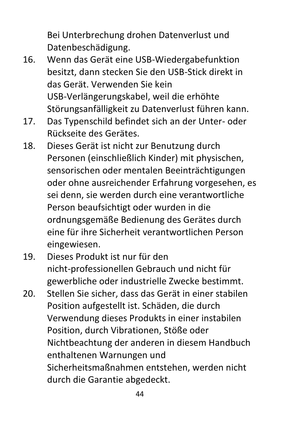Bei Unterbrechung drohen Datenverlust und Datenbeschädigung.

- 16. Wenn das Gerät eine USB-Wiedergabefunktion besitzt, dann stecken Sie den USB-Stick direkt in das Gerät. Verwenden Sie kein USB-Verlängerungskabel, weil die erhöhte Störungsanfälligkeit zu Datenverlust führen kann.
- 17. Das Typenschild befindet sich an der Unter- oder Rückseite des Gerätes.
- 18. Dieses Gerät ist nicht zur Benutzung durch Personen (einschließlich Kinder) mit physischen, sensorischen oder mentalen Beeinträchtigungen oder ohne ausreichender Erfahrung vorgesehen, es sei denn, sie werden durch eine verantwortliche Person beaufsichtigt oder wurden in die ordnungsgemäße Bedienung des Gerätes durch eine für ihre Sicherheit verantwortlichen Person eingewiesen.
- 19. Dieses Produkt ist nur für den nicht-professionellen Gebrauch und nicht für gewerbliche oder industrielle Zwecke bestimmt.
- 20. Stellen Sie sicher, dass das Gerät in einer stabilen Position aufgestellt ist. Schäden, die durch Verwendung dieses Produkts in einer instabilen Position, durch Vibrationen, Stöße oder Nichtbeachtung der anderen in diesem Handbuch enthaltenen Warnungen und Sicherheitsmaßnahmen entstehen, werden nicht durch die Garantie abgedeckt.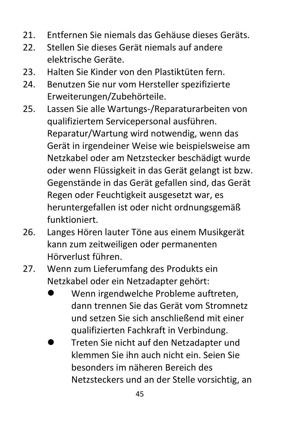- 21. Entfernen Sie niemals das Gehäuse dieses Geräts.
- 22. Stellen Sie dieses Gerät niemals auf andere elektrische Geräte.
- 23. Halten Sie Kinder von den Plastiktüten fern.
- 24. Benutzen Sie nur vom Hersteller spezifizierte Erweiterungen/Zubehörteile.
- 25. Lassen Sie alle Wartungs-/Reparaturarbeiten von qualifiziertem Servicepersonal ausführen. Reparatur/Wartung wird notwendig, wenn das Gerät in irgendeiner Weise wie beispielsweise am Netzkabel oder am Netzstecker beschädigt wurde oder wenn Flüssigkeit in das Gerät gelangt ist bzw. Gegenstände in das Gerät gefallen sind, das Gerät Regen oder Feuchtigkeit ausgesetzt war, es heruntergefallen ist oder nicht ordnungsgemäß funktioniert.
- 26. Langes Hören lauter Töne aus einem Musikgerät kann zum zeitweiligen oder permanenten Hörverlust führen.
- 27. Wenn zum Lieferumfang des Produkts ein Netzkabel oder ein Netzadapter gehört:
	- ⚫ Wenn irgendwelche Probleme auftreten, dann trennen Sie das Gerät vom Stromnetz und setzen Sie sich anschließend mit einer qualifizierten Fachkraft in Verbindung.
	- ⚫ Treten Sie nicht auf den Netzadapter und klemmen Sie ihn auch nicht ein. Seien Sie besonders im näheren Bereich des Netzsteckers und an der Stelle vorsichtig, an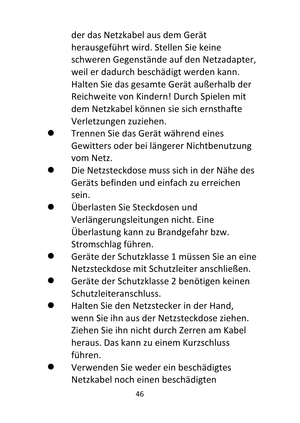der das Netzkabel aus dem Gerät herausgeführt wird. Stellen Sie keine schweren Gegenstände auf den Netzadapter, weil er dadurch beschädigt werden kann. Halten Sie das gesamte Gerät außerhalb der Reichweite von Kindern! Durch Spielen mit dem Netzkabel können sie sich ernsthafte Verletzungen zuziehen.

- ⚫ Trennen Sie das Gerät während eines Gewitters oder bei längerer Nichtbenutzung vom Netz.
- ⚫ Die Netzsteckdose muss sich in der Nähe des Geräts befinden und einfach zu erreichen sein.
- ⚫ Überlasten Sie Steckdosen und Verlängerungsleitungen nicht. Eine Überlastung kann zu Brandgefahr bzw. Stromschlag führen.
- ⚫ Geräte der Schutzklasse 1 müssen Sie an eine Netzsteckdose mit Schutzleiter anschließen.
- ⚫ Geräte der Schutzklasse 2 benötigen keinen Schutzleiteranschluss.
- ⚫ Halten Sie den Netzstecker in der Hand, wenn Sie ihn aus der Netzsteckdose ziehen. Ziehen Sie ihn nicht durch Zerren am Kabel heraus. Das kann zu einem Kurzschluss führen.
- ⚫ Verwenden Sie weder ein beschädigtes Netzkabel noch einen beschädigten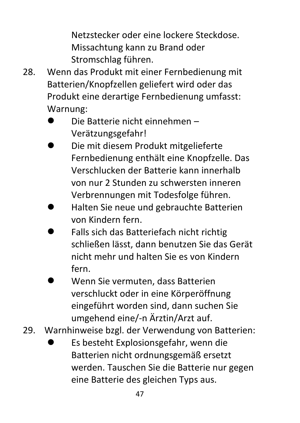Netzstecker oder eine lockere Steckdose. Missachtung kann zu Brand oder Stromschlag führen.

- 28. Wenn das Produkt mit einer Fernbedienung mit Batterien/Knopfzellen geliefert wird oder das Produkt eine derartige Fernbedienung umfasst: Warnung:
	- ⚫ Die Batterie nicht einnehmen Verätzungsgefahr!
	- ⚫ Die mit diesem Produkt mitgelieferte Fernbedienung enthält eine Knopfzelle. Das Verschlucken der Batterie kann innerhalb von nur 2 Stunden zu schwersten inneren Verbrennungen mit Todesfolge führen.
	- ⚫ Halten Sie neue und gebrauchte Batterien von Kindern fern.
	- ⚫ Falls sich das Batteriefach nicht richtig schließen lässt, dann benutzen Sie das Gerät nicht mehr und halten Sie es von Kindern fern.
	- ⚫ Wenn Sie vermuten, dass Batterien verschluckt oder in eine Körperöffnung eingeführt worden sind, dann suchen Sie umgehend eine/-n Ärztin/Arzt auf.
- 29. Warnhinweise bzgl. der Verwendung von Batterien:
	- ⚫ Es besteht Explosionsgefahr, wenn die Batterien nicht ordnungsgemäß ersetzt werden. Tauschen Sie die Batterie nur gegen eine Batterie des gleichen Typs aus.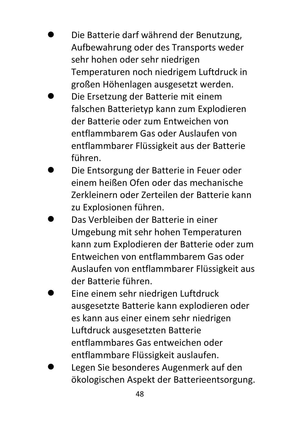- ⚫ Die Batterie darf während der Benutzung, Aufbewahrung oder des Transports weder sehr hohen oder sehr niedrigen Temperaturen noch niedrigem Luftdruck in großen Höhenlagen ausgesetzt werden.
- ⚫ Die Ersetzung der Batterie mit einem falschen Batterietyp kann zum Explodieren der Batterie oder zum Entweichen von entflammbarem Gas oder Auslaufen von entflammbarer Flüssigkeit aus der Batterie führen.
- ⚫ Die Entsorgung der Batterie in Feuer oder einem heißen Ofen oder das mechanische Zerkleinern oder Zerteilen der Batterie kann zu Explosionen führen.
- ⚫ Das Verbleiben der Batterie in einer Umgebung mit sehr hohen Temperaturen kann zum Explodieren der Batterie oder zum Entweichen von entflammbarem Gas oder Auslaufen von entflammbarer Flüssigkeit aus der Batterie führen.
- ⚫ Eine einem sehr niedrigen Luftdruck ausgesetzte Batterie kann explodieren oder es kann aus einer einem sehr niedrigen Luftdruck ausgesetzten Batterie entflammbares Gas entweichen oder entflammbare Flüssigkeit auslaufen.
- ⚫ Legen Sie besonderes Augenmerk auf den ökologischen Aspekt der Batterieentsorgung.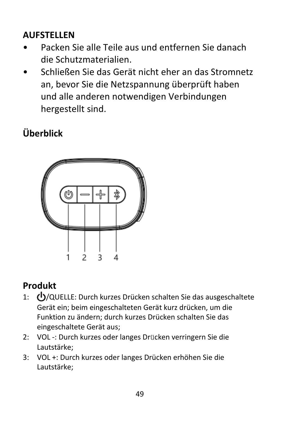## **AUFSTELLEN**

- Packen Sie alle Teile aus und entfernen Sie danach die Schutzmaterialien.
- Schließen Sie das Gerät nicht eher an das Stromnetz an, bevor Sie die Netzspannung überprüft haben und alle anderen notwendigen Verbindungen hergestellt sind.

# **Überblick**



## **Produkt**

- 1:  $\bigcirc$ /QUELLE: Durch kurzes Drücken schalten Sie das ausgeschaltete Gerät ein; beim eingeschalteten Gerät kurz drücken, um die Funktion zu ändern; durch kurzes Drücken schalten Sie das eingeschaltete Gerät aus;
- 2: VOL -: Durch kurzes oder langes Drücken verringern Sie die Lautstärke;
- 3: VOL +: Durch kurzes oder langes Drücken erhöhen Sie die Lautstärke;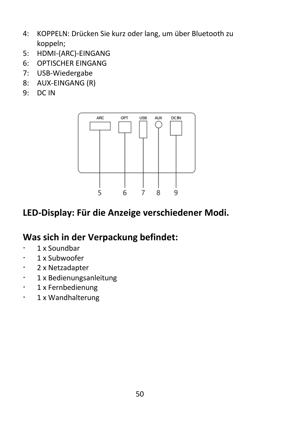- 4: KOPPELN: Drücken Sie kurz oder lang, um über Bluetooth zu koppeln;
- 5: HDMI-(ARC)-EINGANG
- 6: OPTISCHER EINGANG
- 7: USB-Wiedergabe
- 8: AUX-EINGANG (R)
- 9: DC IN



#### **LED-Display: Für die Anzeige verschiedener Modi.**

#### **Was sich in der Verpackung befindet:**

- $\cdot$  1 x Soundbar
- $\cdot$  1 x Subwoofer
- 2 x Netzadapter
- 1 x Bedienungsanleitung
- · 1 x Fernbedienung
- · 1 x Wandhalterung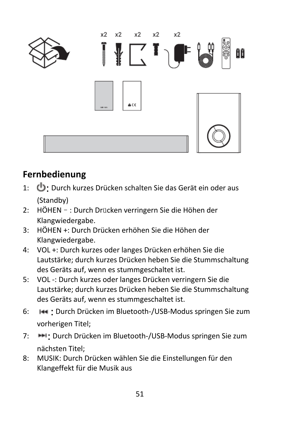

### **Fernbedienung**

- 1:  $\bigoplus$ : Durch kurzes Drücken schalten Sie das Gerät ein oder aus (Standby)
- 2: HÖHEN–: Durch Drücken verringern Sie die Höhen der Klangwiedergabe.
- 3: HÖHEN +: Durch Drücken erhöhen Sie die Höhen der Klangwiedergabe.
- 4: VOL +: Durch kurzes oder langes Drücken erhöhen Sie die Lautstärke; durch kurzes Drücken heben Sie die Stummschaltung des Geräts auf, wenn es stummgeschaltet ist.
- 5: VOL -: Durch kurzes oder langes Drücken verringern Sie die Lautstärke; durch kurzes Drücken heben Sie die Stummschaltung des Geräts auf, wenn es stummgeschaltet ist.
- 6:  $\leftarrow$  : Durch Drücken im Bluetooth-/USB-Modus springen Sie zum vorherigen Titel;
- 7: **IFM:** Durch Drücken im Bluetooth-/USB-Modus springen Sie zum nächsten Titel;
- 8: MUSIK: Durch Drücken wählen Sie die Einstellungen für den Klangeffekt für die Musik aus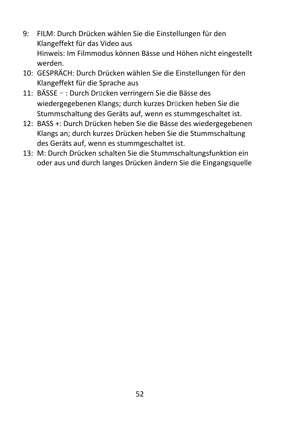- 9: FILM: Durch Drücken wählen Sie die Einstellungen für den Klangeffekt für das Video aus Hinweis: Im Filmmodus können Bässe und Höhen nicht eingestellt werden.
- 10: GESPRÄCH: Durch Drücken wählen Sie die Einstellungen für den Klangeffekt für die Sprache aus
- 11: BÄSSE–: Durch Drücken verringern Sie die Bässe des wiedergegebenen Klangs; durch kurzes Drücken heben Sie die Stummschaltung des Geräts auf, wenn es stummgeschaltet ist.
- 12: BASS +: Durch Drücken heben Sie die Bässe des wiedergegebenen Klangs an; durch kurzes Drücken heben Sie die Stummschaltung des Geräts auf, wenn es stummgeschaltet ist.
- 13: M: Durch Drücken schalten Sie die Stummschaltungsfunktion ein oder aus und durch langes Drücken ändern Sie die Eingangsquelle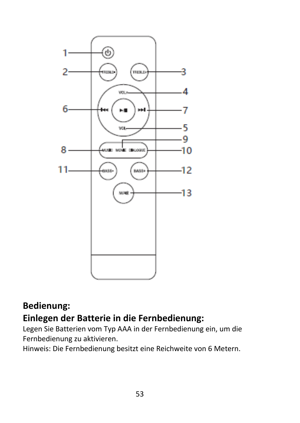

### **Bedienung: Einlegen der Batterie in die Fernbedienung:**

Legen Sie Batterien vom Typ AAA in der Fernbedienung ein, um die Fernbedienung zu aktivieren.

Hinweis: Die Fernbedienung besitzt eine Reichweite von 6 Metern.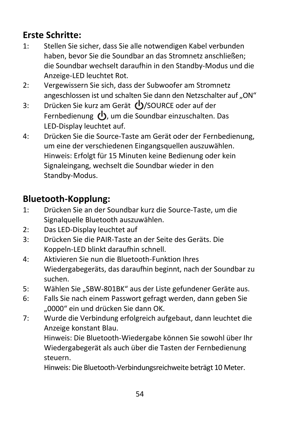### **Erste Schritte:**

- 1: Stellen Sie sicher, dass Sie alle notwendigen Kabel verbunden haben, bevor Sie die Soundbar an das Stromnetz anschließen; die Soundbar wechselt daraufhin in den Standby-Modus und die Anzeige-LED leuchtet Rot.
- 2: Vergewissern Sie sich, dass der Subwoofer am Stromnetz angeschlossen ist und schalten Sie dann den Netzschalter auf "ON"
- 3: Drücken Sie kurz am Gerät (U)/SOURCE oder auf der Fernbedienung (b), um die Soundbar einzuschalten. Das LED-Display leuchtet auf.
- 4: Drücken Sie die Source-Taste am Gerät oder der Fernbedienung, um eine der verschiedenen Eingangsquellen auszuwählen. Hinweis: Erfolgt für 15 Minuten keine Bedienung oder kein Signaleingang, wechselt die Soundbar wieder in den Standby-Modus.

### **Bluetooth-Kopplung:**

- 1: Drücken Sie an der Soundbar kurz die Source-Taste, um die Signalquelle Bluetooth auszuwählen.
- 2: Das LED-Display leuchtet auf
- 3: Drücken Sie die PAIR-Taste an der Seite des Geräts. Die Koppeln-LED blinkt daraufhin schnell.
- 4: Aktivieren Sie nun die Bluetooth-Funktion Ihres Wiedergabegeräts, das daraufhin beginnt, nach der Soundbar zu suchen.
- 5: Wählen Sie "SBW-801BK" aus der Liste gefundener Geräte aus.
- 6: Falls Sie nach einem Passwort gefragt werden, dann geben Sie "0000" ein und drücken Sie dann OK.
- 7: Wurde die Verbindung erfolgreich aufgebaut, dann leuchtet die Anzeige konstant Blau.

Hinweis: Die Bluetooth-Wiedergabe können Sie sowohl über Ihr Wiedergabegerät als auch über die Tasten der Fernbedienung steuern.

Hinweis: Die Bluetooth-Verbindungsreichweite beträgt 10 Meter.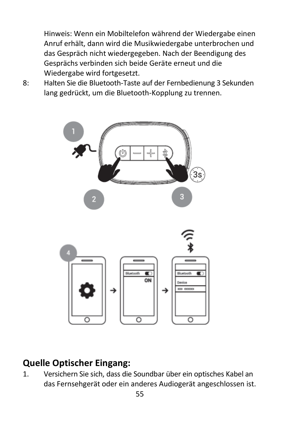Hinweis: Wenn ein Mobiltelefon während der Wiedergabe einen Anruf erhält, dann wird die Musikwiedergabe unterbrochen und das Gespräch nicht wiedergegeben. Nach der Beendigung des Gesprächs verbinden sich beide Geräte erneut und die Wiedergabe wird fortgesetzt.

8: Halten Sie die Bluetooth-Taste auf der Fernbedienung 3 Sekunden lang gedrückt, um die Bluetooth-Kopplung zu trennen.



### **Quelle Optischer Eingang:**

1. Versichern Sie sich, dass die Soundbar über ein optisches Kabel an das Fernsehgerät oder ein anderes Audiogerät angeschlossen ist.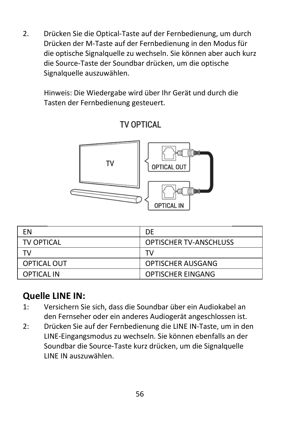2. Drücken Sie die Optical-Taste auf der Fernbedienung, um durch Drücken der M-Taste auf der Fernbedienung in den Modus für die optische Signalquelle zu wechseln. Sie können aber auch kurz die Source-Taste der Soundbar drücken, um die optische Signalquelle auszuwählen.

Hinweis: Die Wiedergabe wird über Ihr Gerät und durch die Tasten der Fernbedienung gesteuert.



#### TV OPTICAL

| FN          | DE                            |
|-------------|-------------------------------|
| TV OPTICAL  | <b>OPTISCHER TV-ANSCHLUSS</b> |
| тv          | тv                            |
| OPTICAL OUT | OPTISCHER AUSGANG             |
| OPTICAL IN  | <b>OPTISCHER EINGANG</b>      |

#### **Quelle LINE IN:**

- 1: Versichern Sie sich, dass die Soundbar über ein Audiokabel an den Fernseher oder ein anderes Audiogerät angeschlossen ist.
- 2: Drücken Sie auf der Fernbedienung die LINE IN-Taste, um in den LINE-Eingangsmodus zu wechseln. Sie können ebenfalls an der Soundbar die Source-Taste kurz drücken, um die Signalquelle LINE IN auszuwählen.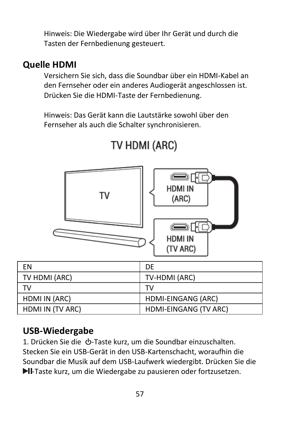Hinweis: Die Wiedergabe wird über Ihr Gerät und durch die Tasten der Fernbedienung gesteuert.

#### **Quelle HDMI**

Versichern Sie sich, dass die Soundbar über ein HDMI-Kabel an den Fernseher oder ein anderes Audiogerät angeschlossen ist. Drücken Sie die HDMI-Taste der Fernbedienung.

Hinweis: Das Gerät kann die Lautstärke sowohl über den Fernseher als auch die Schalter synchronisieren.



# TV HDMI (ARC)

#### **USB-Wiedergabe**

1. Drücken Sie die  $\Phi$ -Taste kurz, um die Soundbar einzuschalten. Stecken Sie ein USB-Gerät in den USB-Kartenschacht, woraufhin die Soundbar die Musik auf dem USB-Laufwerk wiedergibt. Drücken Sie die -Taste kurz, um die Wiedergabe zu pausieren oder fortzusetzen.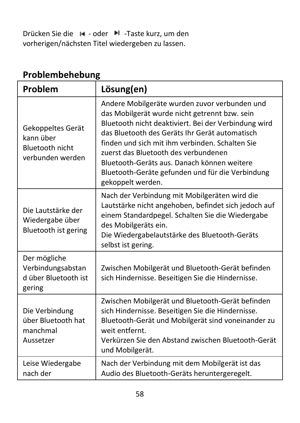Drücken Sie die I< - oder ▶ -Taste kurz, um den vorherigen/nächsten Titel wiedergeben zu lassen.

| Problem                                                               | Lösung(en)                                                                                                                                                                                                                                                                                                                                                                                                                  |
|-----------------------------------------------------------------------|-----------------------------------------------------------------------------------------------------------------------------------------------------------------------------------------------------------------------------------------------------------------------------------------------------------------------------------------------------------------------------------------------------------------------------|
| Gekoppeltes Gerät<br>kann über<br>Bluetooth nicht<br>verbunden werden | Andere Mobilgeräte wurden zuvor verbunden und<br>das Mobilgerät wurde nicht getrennt bzw. sein<br>Bluetooth nicht deaktiviert. Bei der Verbindung wird<br>das Bluetooth des Geräts Ihr Gerät automatisch<br>finden und sich mit ihm verbinden. Schalten Sie<br>zuerst das Bluetooth des verbundenen<br>Bluetooth-Geräts aus. Danach können weitere<br>Bluetooth-Geräte gefunden und für die Verbindung<br>gekoppelt werden. |
| Die Lautstärke der<br>Wiedergabe über<br>Bluetooth ist gering         | Nach der Verbindung mit Mobilgeräten wird die<br>Lautstärke nicht angehoben, befindet sich jedoch auf<br>einem Standardpegel. Schalten Sie die Wiedergabe<br>des Mobilgeräts ein.<br>Die Wiedergabelautstärke des Bluetooth-Geräts<br>selbst ist gering.                                                                                                                                                                    |
| Der mögliche<br>Verbindungsabstan<br>d über Bluetooth ist<br>gering   | Zwischen Mobilgerät und Bluetooth-Gerät befinden<br>sich Hindernisse. Beseitigen Sie die Hindernisse.                                                                                                                                                                                                                                                                                                                       |
| Die Verbindung<br>über Bluetooth hat<br>manchmal<br>Aussetzer         | Zwischen Mobilgerät und Bluetooth-Gerät befinden<br>sich Hindernisse. Beseitigen Sie die Hindernisse.<br>Bluetooth-Gerät und Mobilgerät sind voneinander zu<br>weit entfernt.<br>Verkürzen Sie den Abstand zwischen Bluetooth-Gerät<br>und Mobilgerät.                                                                                                                                                                      |
| Leise Wiedergabe<br>nach der                                          | Nach der Verbindung mit dem Mobilgerät ist das<br>Audio des Bluetooth-Geräts heruntergeregelt.                                                                                                                                                                                                                                                                                                                              |

# **Problembehebung**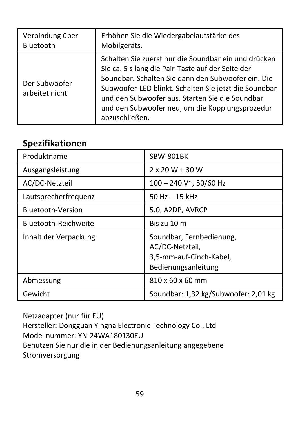| Verbindung über                 | Erhöhen Sie die Wiedergabelautstärke des                                                                                                                                                                                                                                                                                                         |
|---------------------------------|--------------------------------------------------------------------------------------------------------------------------------------------------------------------------------------------------------------------------------------------------------------------------------------------------------------------------------------------------|
| Bluetooth                       | Mobilgeräts.                                                                                                                                                                                                                                                                                                                                     |
| Der Subwoofer<br>arbeitet nicht | Schalten Sie zuerst nur die Soundbar ein und drücken<br>Sie ca. 5 s lang die Pair-Taste auf der Seite der<br>Soundbar. Schalten Sie dann den Subwoofer ein. Die<br>Subwoofer-LED blinkt. Schalten Sie jetzt die Soundbar<br>und den Subwoofer aus. Starten Sie die Soundbar<br>und den Subwoofer neu, um die Kopplungsprozedur<br>abzuschließen. |

#### **Spezifikationen**

| Produktname           | SBW-801BK                                                                                     |
|-----------------------|-----------------------------------------------------------------------------------------------|
| Ausgangsleistung      | $2 \times 20 W + 30 W$                                                                        |
| AC/DC-Netzteil        | $100 - 240$ V $\sim$ , 50/60 Hz                                                               |
| Lautsprecherfrequenz  | 50 Hz $-$ 15 kHz                                                                              |
| Bluetooth-Version     | 5.0, A2DP, AVRCP                                                                              |
| Bluetooth-Reichweite  | Bis zu 10 m                                                                                   |
| Inhalt der Verpackung | Soundbar, Fernbedienung,<br>AC/DC-Netzteil,<br>3,5-mm-auf-Cinch-Kabel,<br>Bedienungsanleitung |
| Abmessung             | 810 x 60 x 60 mm                                                                              |
| Gewicht               | Soundbar: 1,32 kg/Subwoofer: 2,01 kg                                                          |

Netzadapter (nur für EU) Hersteller: Dongguan Yingna Electronic Technology Co., Ltd Modellnummer: YN-24WA180130EU Benutzen Sie nur die in der Bedienungsanleitung angegebene Stromversorgung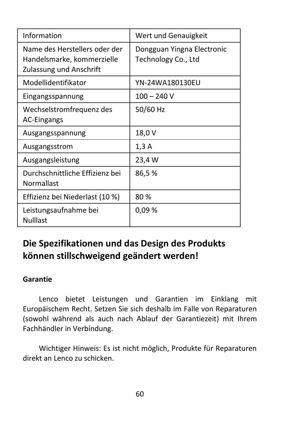| Information                                                                            | Wert und Genauigkeit                              |
|----------------------------------------------------------------------------------------|---------------------------------------------------|
| Name des Herstellers oder der<br>Handelsmarke, kommerzielle<br>Zulassung und Anschrift | Dongguan Yingna Electronic<br>Technology Co., Ltd |
| Modellidentifikator                                                                    | YN-24WA180130EU                                   |
| Eingangsspannung                                                                       | $100 - 240V$                                      |
| Wechselstromfrequenz des<br><b>AC-Eingangs</b>                                         | 50/60 Hz                                          |
| Ausgangsspannung                                                                       | 18,0 V                                            |
| Ausgangsstrom                                                                          | 1,3A                                              |
| Ausgangsleistung                                                                       | 23,4 W                                            |
| Durchschnittliche Effizienz bei<br>Normallast                                          | 86,5%                                             |
| Effizienz bei Niederlast (10 %)                                                        | 80%                                               |
| Leistungsaufnahme bei<br><b>Nulllast</b>                                               | 0.09%                                             |

### **Die Spezifikationen und das Design des Produkts können stillschweigend geändert werden!**

#### **Garantie**

Lenco bietet Leistungen und Garantien im Einklang mit Europäischem Recht. Setzen Sie sich deshalb im Falle von Reparaturen (sowohl während als auch nach Ablauf der Garantiezeit) mit Ihrem Fachhändler in Verbindung.

Wichtiger Hinweis: Es ist nicht möglich, Produkte für Reparaturen direkt an Lenco zu schicken.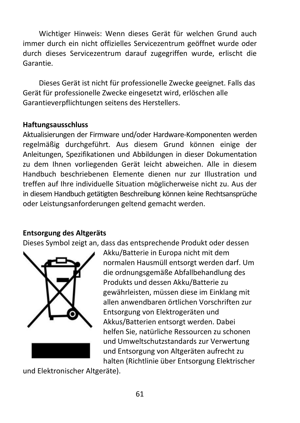Wichtiger Hinweis: Wenn dieses Gerät für welchen Grund auch immer durch ein nicht offizielles Servicezentrum geöffnet wurde oder durch dieses Servicezentrum darauf zugegriffen wurde, erlischt die Garantie.

Dieses Gerät ist nicht für professionelle Zwecke geeignet. Falls das Gerät für professionelle Zwecke eingesetzt wird, erlöschen alle Garantieverpflichtungen seitens des Herstellers.

#### **Haftungsausschluss**

Aktualisierungen der Firmware und/oder Hardware-Komponenten werden regelmäßig durchgeführt. Aus diesem Grund können einige der Anleitungen, Spezifikationen und Abbildungen in dieser Dokumentation zu dem Ihnen vorliegenden Gerät leicht abweichen. Alle in diesem Handbuch beschriebenen Elemente dienen nur zur Illustration und treffen auf Ihre individuelle Situation möglicherweise nicht zu. Aus der in diesem Handbuch getätigten Beschreibung können keine Rechtsansprüche oder Leistungsanforderungen geltend gemacht werden.

#### **Entsorgung des Altgeräts**

Dieses Symbol zeigt an, dass das entsprechende Produkt oder dessen



Akku/Batterie in Europa nicht mit dem normalen Hausmüll entsorgt werden darf. Um die ordnungsgemäße Abfallbehandlung des Produkts und dessen Akku/Batterie zu gewährleisten, müssen diese im Einklang mit allen anwendbaren örtlichen Vorschriften zur Entsorgung von Elektrogeräten und Akkus/Batterien entsorgt werden. Dabei helfen Sie, natürliche Ressourcen zu schonen und Umweltschutzstandards zur Verwertung und Entsorgung von Altgeräten aufrecht zu halten (Richtlinie über Entsorgung Elektrischer

und Elektronischer Altgeräte).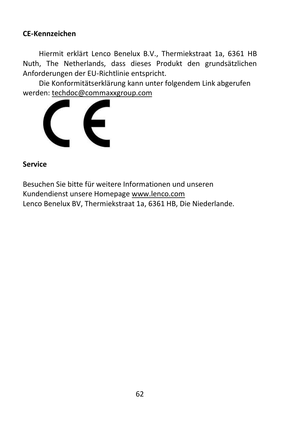#### **CE-Kennzeichen**

Hiermit erklärt Lenco Benelux B.V., Thermiekstraat 1a, 6361 HB Nuth, The Netherlands, dass dieses Produkt den grundsätzlichen Anforderungen der EU-Richtlinie entspricht.

Die Konformitätserklärung kann unter folgendem Link abgerufen werden[: techdoc@commaxxgroup.com](mailto:techdoc@commaxxgroup.com)



#### **Service**

Besuchen Sie bitte für weitere Informationen und unseren Kundendienst unsere Homepag[e www.lenco.com](http://www.lenco.com/) Lenco Benelux BV, Thermiekstraat 1a, 6361 HB, Die Niederlande.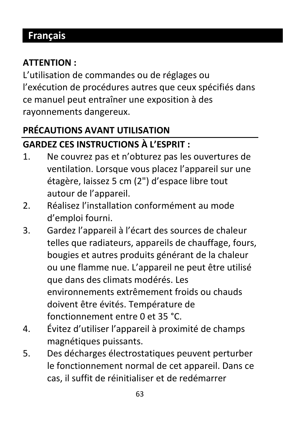# **Français**

### **ATTENTION :**

L'utilisation de commandes ou de réglages ou l'exécution de procédures autres que ceux spécifiés dans ce manuel peut entraîner une exposition à des rayonnements dangereux.

### **PRÉCAUTIONS AVANT UTILISATION GARDEZ CES INSTRUCTIONS À L'ESPRIT :**

- 1. Ne couvrez pas et n'obturez pas les ouvertures de ventilation. Lorsque vous placez l'appareil sur une étagère, laissez 5 cm (2") d'espace libre tout autour de l'appareil.
- 2. Réalisez l'installation conformément au mode d'emploi fourni.
- 3. Gardez l'appareil à l'écart des sources de chaleur telles que radiateurs, appareils de chauffage, fours, bougies et autres produits générant de la chaleur ou une flamme nue. L'appareil ne peut être utilisé que dans des climats modérés. Les environnements extrêmement froids ou chauds doivent être évités. Température de fonctionnement entre 0 et 35 °C.
- 4. Évitez d'utiliser l'appareil à proximité de champs magnétiques puissants.
- 5. Des décharges électrostatiques peuvent perturber le fonctionnement normal de cet appareil. Dans ce cas, il suffit de réinitialiser et de redémarrer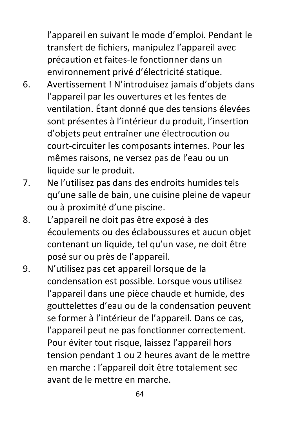l'appareil en suivant le mode d'emploi. Pendant le transfert de fichiers, manipulez l'appareil avec précaution et faites-le fonctionner dans un environnement privé d'électricité statique.

- 6. Avertissement ! N'introduisez jamais d'objets dans l'appareil par les ouvertures et les fentes de ventilation. Étant donné que des tensions élevées sont présentes à l'intérieur du produit, l'insertion d'objets peut entraîner une électrocution ou court-circuiter les composants internes. Pour les mêmes raisons, ne versez pas de l'eau ou un liquide sur le produit.
- 7. Ne l'utilisez pas dans des endroits humides tels qu'une salle de bain, une cuisine pleine de vapeur ou à proximité d'une piscine.
- 8. L'appareil ne doit pas être exposé à des écoulements ou des éclaboussures et aucun objet contenant un liquide, tel qu'un vase, ne doit être posé sur ou près de l'appareil.
- 9. N'utilisez pas cet appareil lorsque de la condensation est possible. Lorsque vous utilisez l'appareil dans une pièce chaude et humide, des gouttelettes d'eau ou de la condensation peuvent se former à l'intérieur de l'appareil. Dans ce cas, l'appareil peut ne pas fonctionner correctement. Pour éviter tout risque, laissez l'appareil hors tension pendant 1 ou 2 heures avant de le mettre en marche : l'appareil doit être totalement sec avant de le mettre en marche.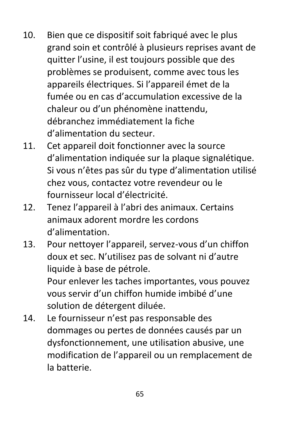- 10. Bien que ce dispositif soit fabriqué avec le plus grand soin et contrôlé à plusieurs reprises avant de quitter l'usine, il est toujours possible que des problèmes se produisent, comme avec tous les appareils électriques. Si l'appareil émet de la fumée ou en cas d'accumulation excessive de la chaleur ou d'un phénomène inattendu, débranchez immédiatement la fiche d'alimentation du secteur.
- 11. Cet appareil doit fonctionner avec la source d'alimentation indiquée sur la plaque signalétique. Si vous n'êtes pas sûr du type d'alimentation utilisé chez vous, contactez votre revendeur ou le fournisseur local d'électricité.
- 12. Tenez l'appareil à l'abri des animaux. Certains animaux adorent mordre les cordons d'alimentation.
- 13. Pour nettoyer l'appareil, servez-vous d'un chiffon doux et sec. N'utilisez pas de solvant ni d'autre liquide à base de pétrole. Pour enlever les taches importantes, vous pouvez vous servir d'un chiffon humide imbibé d'une solution de détergent diluée.
- 14. Le fournisseur n'est pas responsable des dommages ou pertes de données causés par un dysfonctionnement, une utilisation abusive, une modification de l'appareil ou un remplacement de la batterie.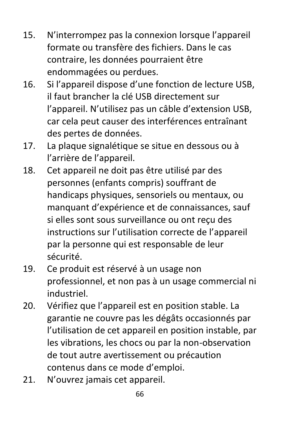- 15. N'interrompez pas la connexion lorsque l'appareil formate ou transfère des fichiers. Dans le cas contraire, les données pourraient être endommagées ou perdues.
- 16. Si l'appareil dispose d'une fonction de lecture USB, il faut brancher la clé USB directement sur l'appareil. N'utilisez pas un câble d'extension USB, car cela peut causer des interférences entraînant des pertes de données.
- 17. La plaque signalétique se situe en dessous ou à l'arrière de l'appareil.
- 18. Cet appareil ne doit pas être utilisé par des personnes (enfants compris) souffrant de handicaps physiques, sensoriels ou mentaux, ou manquant d'expérience et de connaissances, sauf si elles sont sous surveillance ou ont reçu des instructions sur l'utilisation correcte de l'appareil par la personne qui est responsable de leur sécurité.
- 19. Ce produit est réservé à un usage non professionnel, et non pas à un usage commercial ni industriel.
- 20. Vérifiez que l'appareil est en position stable. La garantie ne couvre pas les dégâts occasionnés par l'utilisation de cet appareil en position instable, par les vibrations, les chocs ou par la non-observation de tout autre avertissement ou précaution contenus dans ce mode d'emploi.
- 21. N'ouvrez jamais cet appareil.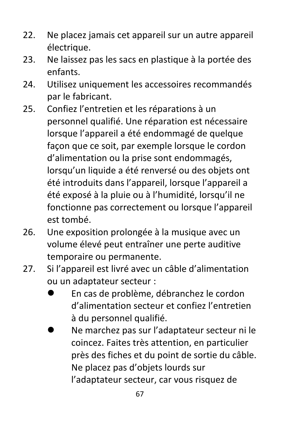- 22. Ne placez jamais cet appareil sur un autre appareil électrique.
- 23. Ne laissez pas les sacs en plastique à la portée des enfants.
- 24. Utilisez uniquement les accessoires recommandés par le fabricant.
- 25. Confiez l'entretien et les réparations à un personnel qualifié. Une réparation est nécessaire lorsque l'appareil a été endommagé de quelque façon que ce soit, par exemple lorsque le cordon d'alimentation ou la prise sont endommagés, lorsqu'un liquide a été renversé ou des objets ont été introduits dans l'appareil, lorsque l'appareil a été exposé à la pluie ou à l'humidité, lorsqu'il ne fonctionne pas correctement ou lorsque l'appareil est tombé.
- 26. Une exposition prolongée à la musique avec un volume élevé peut entraîner une perte auditive temporaire ou permanente.
- 27. Si l'appareil est livré avec un câble d'alimentation ou un adaptateur secteur :
	- ⚫ En cas de problème, débranchez le cordon d'alimentation secteur et confiez l'entretien à du personnel qualifié.
	- ⚫ Ne marchez pas sur l'adaptateur secteur ni le coincez. Faites très attention, en particulier près des fiches et du point de sortie du câble. Ne placez pas d'objets lourds sur l'adaptateur secteur, car vous risquez de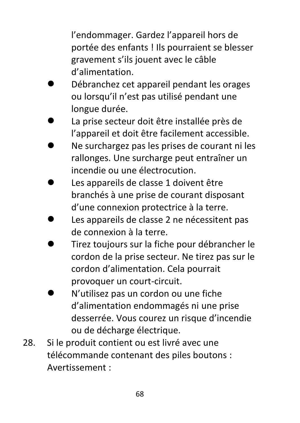l'endommager. Gardez l'appareil hors de portée des enfants ! Ils pourraient se blesser gravement s'ils jouent avec le câble d'alimentation.

- ⚫ Débranchez cet appareil pendant les orages ou lorsqu'il n'est pas utilisé pendant une longue durée.
- ⚫ La prise secteur doit être installée près de l'appareil et doit être facilement accessible.
- ⚫ Ne surchargez pas les prises de courant ni les rallonges. Une surcharge peut entraîner un incendie ou une électrocution.
- ⚫ Les appareils de classe 1 doivent être branchés à une prise de courant disposant d'une connexion protectrice à la terre.
- ⚫ Les appareils de classe 2 ne nécessitent pas de connexion à la terre.
- ⚫ Tirez toujours sur la fiche pour débrancher le cordon de la prise secteur. Ne tirez pas sur le cordon d'alimentation. Cela pourrait provoquer un court-circuit.
- ⚫ N'utilisez pas un cordon ou une fiche d'alimentation endommagés ni une prise desserrée. Vous courez un risque d'incendie ou de décharge électrique.
- 28. Si le produit contient ou est livré avec une télécommande contenant des piles boutons : Avertissement :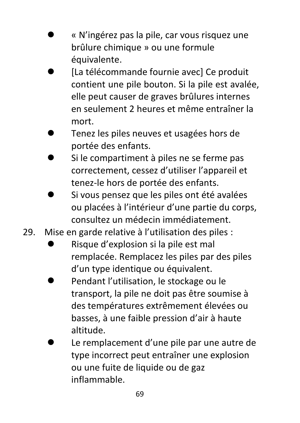- ⚫ « N'ingérez pas la pile, car vous risquez une brûlure chimique » ou une formule équivalente.
- ⚫ [La télécommande fournie avec] Ce produit contient une pile bouton. Si la pile est avalée, elle peut causer de graves brûlures internes en seulement 2 heures et même entraîner la mort.
- ⚫ Tenez les piles neuves et usagées hors de portée des enfants.
- ⚫ Si le compartiment à piles ne se ferme pas correctement, cessez d'utiliser l'appareil et tenez-le hors de portée des enfants.
- ⚫ Si vous pensez que les piles ont été avalées ou placées à l'intérieur d'une partie du corps, consultez un médecin immédiatement.
- 29. Mise en garde relative à l'utilisation des piles :
	- ⚫ Risque d'explosion si la pile est mal remplacée. Remplacez les piles par des piles d'un type identique ou équivalent.
	- ⚫ Pendant l'utilisation, le stockage ou le transport, la pile ne doit pas être soumise à des températures extrêmement élevées ou basses, à une faible pression d'air à haute altitude.
	- ⚫ Le remplacement d'une pile par une autre de type incorrect peut entraîner une explosion ou une fuite de liquide ou de gaz inflammable.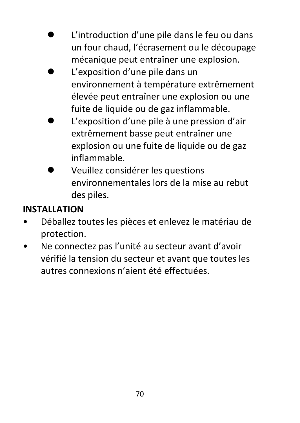- ⚫ L'introduction d'une pile dans le feu ou dans un four chaud, l'écrasement ou le découpage mécanique peut entraîner une explosion.
- ⚫ L'exposition d'une pile dans un environnement à température extrêmement élevée peut entraîner une explosion ou une fuite de liquide ou de gaz inflammable.
- ⚫ L'exposition d'une pile à une pression d'air extrêmement basse peut entraîner une explosion ou une fuite de liquide ou de gaz inflammable.
- ⚫ Veuillez considérer les questions environnementales lors de la mise au rebut des piles.

### **INSTALLATION**

- Déballez toutes les pièces et enlevez le matériau de protection.
- Ne connectez pas l'unité au secteur avant d'avoir vérifié la tension du secteur et avant que toutes les autres connexions n'aient été effectuées.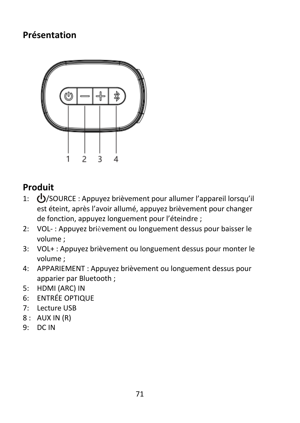### **Présentation**



### **Produit**

- 1: (<sup>1</sup>)/SOURCE : Appuvez brièvement pour allumer l'appareil lorsqu'il est éteint, après l'avoir allumé, appuyez brièvement pour changer de fonction, appuyez longuement pour l'éteindre ;
- 2: VOL- : Appuyez brièvement ou longuement dessus pour baisser le volume ;
- 3: VOL+ : Appuyez brièvement ou longuement dessus pour monter le volume ;
- 4: APPARIEMENT : Appuyez brièvement ou longuement dessus pour apparier par Bluetooth ;
- 5: HDMI (ARC) IN
- 6: ENTRÉE OPTIQUE
- 7: Lecture USB
- 8 : AUX IN (R)
- 9: DC IN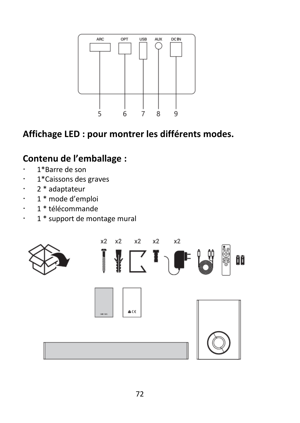

# **Affichage LED : pour montrer les différents modes.**

# **Contenu de l'emballage :**

- 1\*Barre de son
- 1\*Caissons des graves
- 2 \* adaptateur
- 1 \* mode d'emploi
- 1 \* télécommande
- $\cdot$  1  $*$  support de montage mural

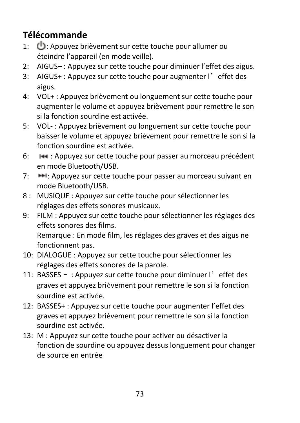# **Télécommande**

- 1:  $\bigcup$ : Appuyez brièvement sur cette touche pour allumer ou éteindre l'appareil (en mode veille).
- 2: AIGUS– : Appuyez sur cette touche pour diminuer l'effet des aigus.
- 3: AIGUS+ : Appuyez sur cette touche pour augmenter l'effet des aigus.
- 4: VOL+ : Appuyez brièvement ou longuement sur cette touche pour augmenter le volume et appuyez brièvement pour remettre le son si la fonction sourdine est activée.
- 5: VOL- : Appuyez brièvement ou longuement sur cette touche pour baisser le volume et appuyez brièvement pour remettre le son si la fonction sourdine est activée.
- 6: : Appuyez sur cette touche pour passer au morceau précédent en mode Bluetooth/USB.
- 7: **IFFI:** Appuyez sur cette touche pour passer au morceau suivant en mode Bluetooth/USB.
- 8 : MUSIQUE : Appuyez sur cette touche pour sélectionner les réglages des effets sonores musicaux.
- 9: FILM : Appuyez sur cette touche pour sélectionner les réglages des effets sonores des films. Remarque : En mode film, les réglages des graves et des aigus ne fonctionnent pas.
- 10: DIALOGUE : Appuyez sur cette touche pour sélectionner les réglages des effets sonores de la parole.
- 11: BASSES : Appuyez sur cette touche pour diminuer l'effet des graves et appuyez brièvement pour remettre le son si la fonction sourdine est activée.
- 12: BASSES+ : Appuyez sur cette touche pour augmenter l'effet des graves et appuyez brièvement pour remettre le son si la fonction sourdine est activée.
- 13: M : Appuyez sur cette touche pour activer ou désactiver la fonction de sourdine ou appuyez dessus longuement pour changer de source en entrée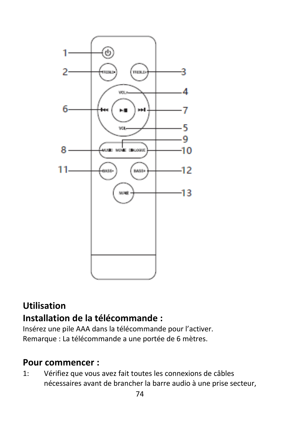

# **Utilisation Installation de la télécommande :**

Insérez une pile AAA dans la télécommande pour l'activer. Remarque : La télécommande a une portée de 6 mètres.

## **Pour commencer :**

1: Vérifiez que vous avez fait toutes les connexions de câbles nécessaires avant de brancher la barre audio à une prise secteur,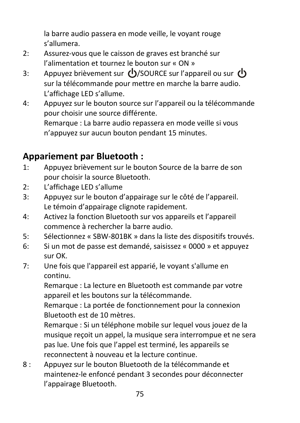la barre audio passera en mode veille, le voyant rouge s'allumera.

- 2: Assurez-vous que le caisson de graves est branché sur l'alimentation et tournez le bouton sur « ON »
- 3: Appuyez brièvement sur (<sup>1</sup>)/SOURCE sur l'appareil ou sur (<sup>1</sup>) sur la télécommande pour mettre en marche la barre audio. L'affichage LED s'allume.
- 4: Appuyez sur le bouton source sur l'appareil ou la télécommande pour choisir une source différente. Remarque : La barre audio repassera en mode veille si vous n'appuyez sur aucun bouton pendant 15 minutes.

# **Appariement par Bluetooth :**

- 1: Appuyez brièvement sur le bouton Source de la barre de son pour choisir la source Bluetooth.
- 2: L'affichage LED s'allume
- 3: Appuyez sur le bouton d'appairage sur le côté de l'appareil. Le témoin d'appairage clignote rapidement.
- 4: Activez la fonction Bluetooth sur vos appareils et l'appareil commence à rechercher la barre audio.
- 5: Sélectionnez « SBW-801BK » dans la liste des dispositifs trouvés.
- 6: Si un mot de passe est demandé, saisissez « 0000 » et appuyez sur OK.
- 7: Une fois que l'appareil est apparié, le voyant s'allume en continu.

Remarque : La lecture en Bluetooth est commande par votre appareil et les boutons sur la télécommande.

Remarque : La portée de fonctionnement pour la connexion Bluetooth est de 10 mètres.

Remarque : Si un téléphone mobile sur lequel vous jouez de la musique reçoit un appel, la musique sera interrompue et ne sera pas lue. Une fois que l'appel est terminé, les appareils se reconnectent à nouveau et la lecture continue.

8 : Appuyez sur le bouton Bluetooth de la télécommande et maintenez-le enfoncé pendant 3 secondes pour déconnecter l'appairage Bluetooth.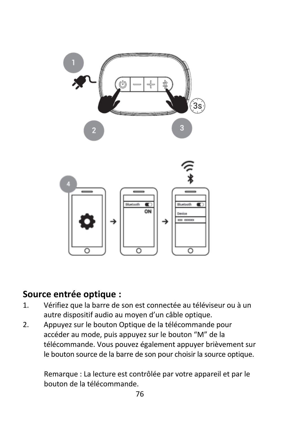

## **Source entrée optique :**

- 1. Vérifiez que la barre de son est connectée au téléviseur ou à un autre dispositif audio au moyen d'un câble optique.
- 2. Appuyez sur le bouton Optique de la télécommande pour accéder au mode, puis appuyez sur le bouton "M" de la télécommande. Vous pouvez également appuyer brièvement sur le bouton source de la barre de son pour choisir la source optique.

Remarque : La lecture est contrôlée par votre appareil et par le bouton de la télécommande.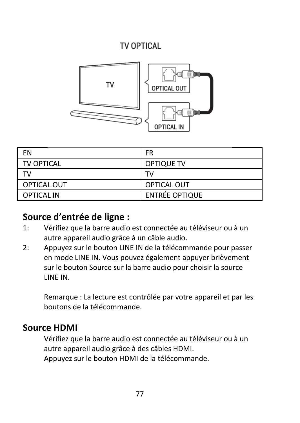## TV OPTICAL



| FN                | FR                    |
|-------------------|-----------------------|
| <b>TV OPTICAL</b> | OPTIQUE TV            |
| T٧                | TV                    |
| OPTICAL OUT       | <b>OPTICAL OUT</b>    |
| <b>OPTICAL IN</b> | <b>ENTRÉE OPTIQUE</b> |

### **Source d'entrée de ligne :**

- 1: Vérifiez que la barre audio est connectée au téléviseur ou à un autre appareil audio grâce à un câble audio.
- 2: Appuyez sur le bouton LINE IN de la télécommande pour passer en mode LINE IN. Vous pouvez également appuyer brièvement sur le bouton Source sur la barre audio pour choisir la source LINE IN.

Remarque : La lecture est contrôlée par votre appareil et par les boutons de la télécommande.

### **Source HDMI**

Vérifiez que la barre audio est connectée au téléviseur ou à un autre appareil audio grâce à des câbles HDMI. Appuyez sur le bouton HDMI de la télécommande.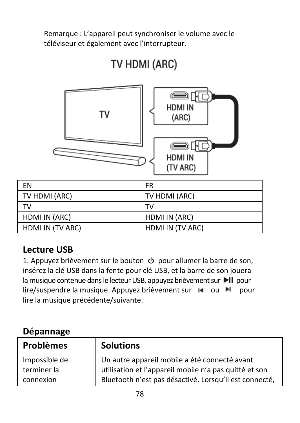Remarque : L'appareil peut synchroniser le volume avec le téléviseur et également avec l'interrupteur.



# TV HDMI (ARC)

| FN               | <b>FR</b>        |
|------------------|------------------|
| TV HDMI (ARC)    | TV HDMI (ARC)    |
| T٧               | тv               |
| HDMI IN (ARC)    | HDMI IN (ARC)    |
| HDMI IN (TV ARC) | HDMI IN (TV ARC) |

## **Lecture USB**

1. Appuyez brièvement sur le bouton  $\Phi$  pour allumer la barre de son, insérez la clé USB dans la fente pour clé USB, et la barre de son jouera la musique contenue dans le lecteur USB, appuyez brièvement sur  $\blacktriangleright$  | pour lire/suspendre la musique. Appuyez brièvement sur  $\blacksquare$  ou  $\blacksquare$  pour lire la musique précédente/suivante.

## **Dépannage**

| <b>Problèmes</b> | <b>Solutions</b>                                       |
|------------------|--------------------------------------------------------|
| Impossible de    | Un autre appareil mobile a été connecté avant          |
| terminer la      | utilisation et l'appareil mobile n'a pas quitté et son |
| connexion        | Bluetooth n'est pas désactivé. Lorsqu'il est connecté, |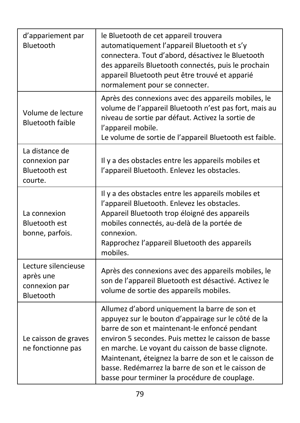| d'appariement par<br>Bluetooth                                     | le Bluetooth de cet appareil trouvera<br>automatiquement l'appareil Bluetooth et s'y<br>connectera. Tout d'abord, désactivez le Bluetooth<br>des appareils Bluetooth connectés, puis le prochain<br>appareil Bluetooth peut être trouvé et apparié<br>normalement pour se connecter.                                                                                                                                               |
|--------------------------------------------------------------------|------------------------------------------------------------------------------------------------------------------------------------------------------------------------------------------------------------------------------------------------------------------------------------------------------------------------------------------------------------------------------------------------------------------------------------|
| Volume de lecture<br><b>Bluetooth faible</b>                       | Après des connexions avec des appareils mobiles, le<br>volume de l'appareil Bluetooth n'est pas fort, mais au<br>niveau de sortie par défaut. Activez la sortie de<br>l'appareil mobile.<br>Le volume de sortie de l'appareil Bluetooth est faible.                                                                                                                                                                                |
| La distance de<br>connexion par<br><b>Bluetooth est</b><br>courte. | Il y a des obstacles entre les appareils mobiles et<br>l'appareil Bluetooth. Enlevez les obstacles.                                                                                                                                                                                                                                                                                                                                |
| La connexion<br><b>Bluetooth est</b><br>bonne, parfois.            | Il y a des obstacles entre les appareils mobiles et<br>l'appareil Bluetooth. Enlevez les obstacles.<br>Appareil Bluetooth trop éloigné des appareils<br>mobiles connectés, au-delà de la portée de<br>connexion.<br>Rapprochez l'appareil Bluetooth des appareils<br>mobiles.                                                                                                                                                      |
| Lecture silencieuse<br>après une<br>connexion par<br>Bluetooth     | Après des connexions avec des appareils mobiles, le<br>son de l'appareil Bluetooth est désactivé. Activez le<br>volume de sortie des appareils mobiles.                                                                                                                                                                                                                                                                            |
| Le caisson de graves<br>ne fonctionne pas                          | Allumez d'abord uniquement la barre de son et<br>appuyez sur le bouton d'appairage sur le côté de la<br>barre de son et maintenant-le enfoncé pendant<br>environ 5 secondes. Puis mettez le caisson de basse<br>en marche. Le voyant du caisson de basse clignote.<br>Maintenant, éteignez la barre de son et le caisson de<br>basse. Redémarrez la barre de son et le caisson de<br>basse pour terminer la procédure de couplage. |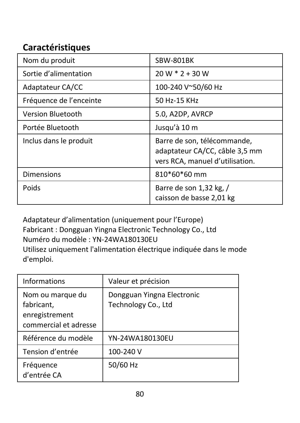# **Caractéristiques**

| Nom du produit          | SBW-801BK                                                                                        |
|-------------------------|--------------------------------------------------------------------------------------------------|
| Sortie d'alimentation   | $20 W * 2 + 30 W$                                                                                |
| Adaptateur CA/CC        | 100-240 V~50/60 Hz                                                                               |
| Fréquence de l'enceinte | 50 Hz-15 KHz                                                                                     |
| Version Bluetooth       | 5.0, A2DP, AVRCP                                                                                 |
| Portée Bluetooth        | Jusqu'à 10 m                                                                                     |
| Inclus dans le produit  | Barre de son, télécommande,<br>adaptateur CA/CC, câble 3,5 mm<br>vers RCA, manuel d'utilisation. |
| <b>Dimensions</b>       | 810*60*60 mm                                                                                     |
| Poids                   | Barre de son 1,32 kg, /<br>caisson de basse 2,01 kg                                              |

Adaptateur d'alimentation (uniquement pour l'Europe) Fabricant : Dongguan Yingna Electronic Technology Co., Ltd Numéro du modèle : YN-24WA180130EU Utilisez uniquement l'alimentation électrique indiquée dans le mode d'emploi.

| Informations                                                              | Valeur et précision                               |
|---------------------------------------------------------------------------|---------------------------------------------------|
| Nom ou marque du<br>fabricant,<br>enregistrement<br>commercial et adresse | Dongguan Yingna Electronic<br>Technology Co., Ltd |
| Référence du modèle                                                       | YN-24WA180130EU                                   |
| Tension d'entrée                                                          | 100-240 V                                         |
| Fréquence<br>d'entrée CA                                                  | 50/60 Hz                                          |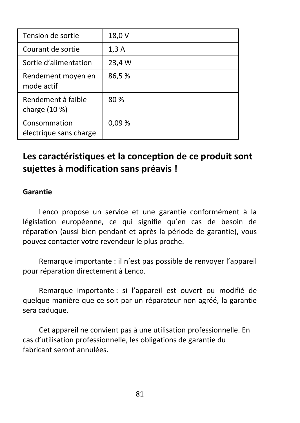| Tension de sortie                      | 18,0 V |
|----------------------------------------|--------|
| Courant de sortie                      | 1,3A   |
| Sortie d'alimentation                  | 23,4 W |
| Rendement moyen en<br>mode actif       | 86,5%  |
| Rendement à faible<br>charge (10 %)    | 80%    |
| Consommation<br>électrique sans charge | 0.09%  |

# **Les caractéristiques et la conception de ce produit sont sujettes à modification sans préavis !**

#### **Garantie**

Lenco propose un service et une garantie conformément à la législation européenne, ce qui signifie qu'en cas de besoin de réparation (aussi bien pendant et après la période de garantie), vous pouvez contacter votre revendeur le plus proche.

Remarque importante : il n'est pas possible de renvoyer l'appareil pour réparation directement à Lenco.

Remarque importante : si l'appareil est ouvert ou modifié de quelque manière que ce soit par un réparateur non agréé, la garantie sera caduque.

Cet appareil ne convient pas à une utilisation professionnelle. En cas d'utilisation professionnelle, les obligations de garantie du fabricant seront annulées.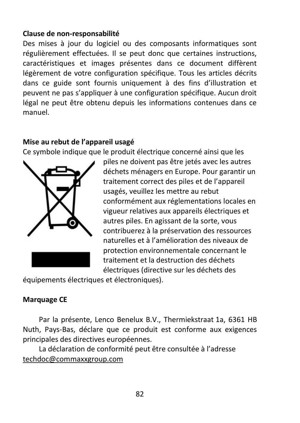#### **Clause de non-responsabilité**

Des mises à jour du logiciel ou des composants informatiques sont régulièrement effectuées. Il se peut donc que certaines instructions, caractéristiques et images présentes dans ce document diffèrent légèrement de votre configuration spécifique. Tous les articles décrits dans ce guide sont fournis uniquement à des fins d'illustration et peuvent ne pas s'appliquer à une configuration spécifique. Aucun droit légal ne peut être obtenu depuis les informations contenues dans ce manuel.

#### **Mise au rebut de l'appareil usagé**

Ce symbole indique que le produit électrique concerné ainsi que les



piles ne doivent pas être jetés avec les autres déchets ménagers en Europe. Pour garantir un traitement correct des piles et de l'appareil usagés, veuillez les mettre au rebut conformément aux réglementations locales en vigueur relatives aux appareils électriques et autres piles. En agissant de la sorte, vous contribuerez à la préservation des ressources naturelles et à l'amélioration des niveaux de protection environnementale concernant le traitement et la destruction des déchets électriques (directive sur les déchets des

équipements électriques et électroniques).

#### **Marquage CE**

Par la présente, Lenco Benelux B.V., Thermiekstraat 1a, 6361 HB Nuth, Pays-Bas, déclare que ce produit est conforme aux exigences principales des directives européennes.

La déclaration de conformité peut être consultée à l'adresse [techdoc@commaxxgroup.com](mailto:techdoc@commaxxgroup.com)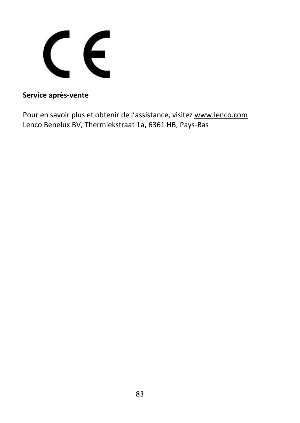CE

#### **Service après-vente**

Pour en savoir plus et obtenir de l'assistance, visitez [www.lenco.com](http://www.lenco.com/) Lenco Benelux BV, Thermiekstraat 1a, 6361 HB, Pays-Bas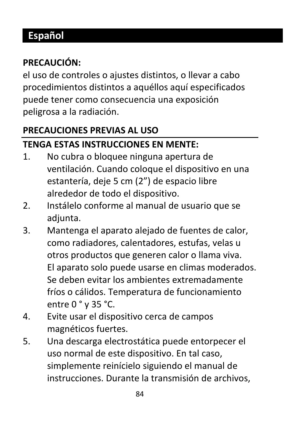# **Español**

# **PRECAUCIÓN:**

el uso de controles o ajustes distintos, o llevar a cabo procedimientos distintos a aquéllos aquí especificados puede tener como consecuencia una exposición peligrosa a la radiación.

# **PRECAUCIONES PREVIAS AL USO**

# **TENGA ESTAS INSTRUCCIONES EN MENTE:**

- 1. No cubra o bloquee ninguna apertura de ventilación. Cuando coloque el dispositivo en una estantería, deje 5 cm (2") de espacio libre alrededor de todo el dispositivo.
- 2. Instálelo conforme al manual de usuario que se adjunta.
- 3. Mantenga el aparato alejado de fuentes de calor, como radiadores, calentadores, estufas, velas u otros productos que generen calor o llama viva. El aparato solo puede usarse en climas moderados. Se deben evitar los ambientes extremadamente fríos o cálidos. Temperatura de funcionamiento entre 0 ° y 35 °C.
- 4. Evite usar el dispositivo cerca de campos magnéticos fuertes.
- 5. Una descarga electrostática puede entorpecer el uso normal de este dispositivo. En tal caso, simplemente reinícielo siguiendo el manual de instrucciones. Durante la transmisión de archivos,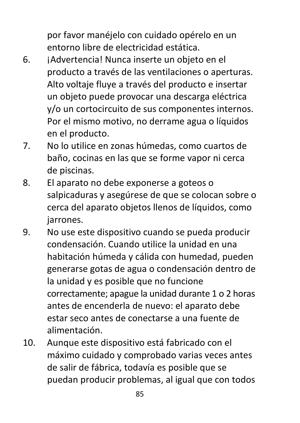por favor manéjelo con cuidado opérelo en un entorno libre de electricidad estática.

- 6. ¡Advertencia! Nunca inserte un objeto en el producto a través de las ventilaciones o aperturas. Alto voltaje fluye a través del producto e insertar un objeto puede provocar una descarga eléctrica y/o un cortocircuito de sus componentes internos. Por el mismo motivo, no derrame agua o líquidos en el producto.
- 7. No lo utilice en zonas húmedas, como cuartos de baño, cocinas en las que se forme vapor ni cerca de piscinas.
- 8. El aparato no debe exponerse a goteos o salpicaduras y asegúrese de que se colocan sobre o cerca del aparato objetos llenos de líquidos, como jarrones.
- 9. No use este dispositivo cuando se pueda producir condensación. Cuando utilice la unidad en una habitación húmeda y cálida con humedad, pueden generarse gotas de agua o condensación dentro de la unidad y es posible que no funcione correctamente; apague la unidad durante 1 o 2 horas antes de encenderla de nuevo: el aparato debe estar seco antes de conectarse a una fuente de alimentación.
- 10. Aunque este dispositivo está fabricado con el máximo cuidado y comprobado varias veces antes de salir de fábrica, todavía es posible que se puedan producir problemas, al igual que con todos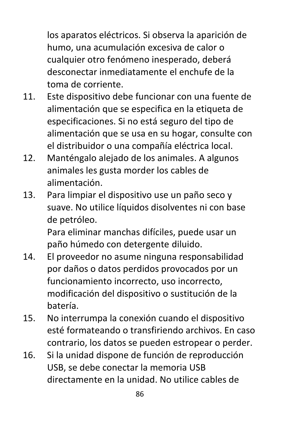los aparatos eléctricos. Si observa la aparición de humo, una acumulación excesiva de calor o cualquier otro fenómeno inesperado, deberá desconectar inmediatamente el enchufe de la toma de corriente.

- 11. Este dispositivo debe funcionar con una fuente de alimentación que se especifica en la etiqueta de especificaciones. Si no está seguro del tipo de alimentación que se usa en su hogar, consulte con el distribuidor o una compañía eléctrica local.
- 12. Manténgalo alejado de los animales. A algunos animales les gusta morder los cables de alimentación.
- 13. Para limpiar el dispositivo use un paño seco y suave. No utilice líquidos disolventes ni con base de petróleo.

Para eliminar manchas difíciles, puede usar un paño húmedo con detergente diluido.

- 14. El proveedor no asume ninguna responsabilidad por daños o datos perdidos provocados por un funcionamiento incorrecto, uso incorrecto, modificación del dispositivo o sustitución de la batería.
- 15. No interrumpa la conexión cuando el dispositivo esté formateando o transfiriendo archivos. En caso contrario, los datos se pueden estropear o perder.
- 16. Si la unidad dispone de función de reproducción USB, se debe conectar la memoria USB directamente en la unidad. No utilice cables de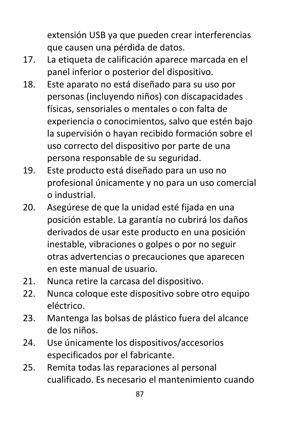extensión USB ya que pueden crear interferencias que causen una pérdida de datos.

- 17. La etiqueta de calificación aparece marcada en el panel inferior o posterior del dispositivo.
- 18. Este aparato no está diseñado para su uso por personas (incluyendo niños) con discapacidades físicas, sensoriales o mentales o con falta de experiencia o conocimientos, salvo que estén bajo la supervisión o hayan recibido formación sobre el uso correcto del dispositivo por parte de una persona responsable de su seguridad.
- 19. Este producto está diseñado para un uso no profesional únicamente y no para un uso comercial o industrial.
- 20. Asegúrese de que la unidad esté fijada en una posición estable. La garantía no cubrirá los daños derivados de usar este producto en una posición inestable, vibraciones o golpes o por no seguir otras advertencias o precauciones que aparecen en este manual de usuario.
- 21. Nunca retire la carcasa del dispositivo.
- 22. Nunca coloque este dispositivo sobre otro equipo eléctrico.
- 23. Mantenga las bolsas de plástico fuera del alcance de los niños.
- 24. Use únicamente los dispositivos/accesorios especificados por el fabricante.
- 25. Remita todas las reparaciones al personal cualificado. Es necesario el mantenimiento cuando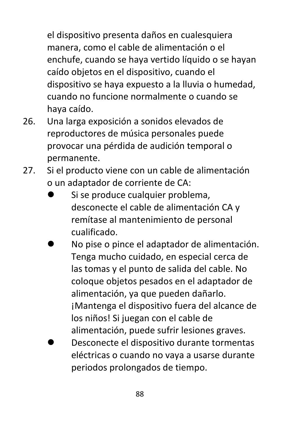el dispositivo presenta daños en cualesquiera manera, como el cable de alimentación o el enchufe, cuando se haya vertido líquido o se hayan caído objetos en el dispositivo, cuando el dispositivo se haya expuesto a la lluvia o humedad, cuando no funcione normalmente o cuando se haya caído.

- 26. Una larga exposición a sonidos elevados de reproductores de música personales puede provocar una pérdida de audición temporal o permanente.
- 27. Si el producto viene con un cable de alimentación o un adaptador de corriente de CA:
	- ⚫ Si se produce cualquier problema, desconecte el cable de alimentación CA y remítase al mantenimiento de personal cualificado.
	- ⚫ No pise o pince el adaptador de alimentación. Tenga mucho cuidado, en especial cerca de las tomas y el punto de salida del cable. No coloque objetos pesados en el adaptador de alimentación, ya que pueden dañarlo. ¡Mantenga el dispositivo fuera del alcance de los niños! Si juegan con el cable de alimentación, puede sufrir lesiones graves.
	- ⚫ Desconecte el dispositivo durante tormentas eléctricas o cuando no vaya a usarse durante periodos prolongados de tiempo.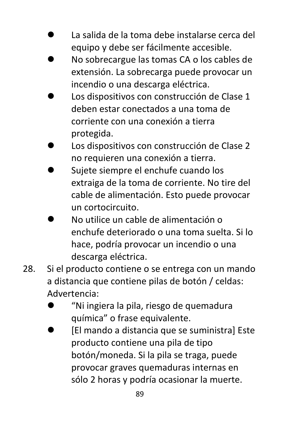- ⚫ La salida de la toma debe instalarse cerca del equipo y debe ser fácilmente accesible.
- ⚫ No sobrecargue las tomas CA o los cables de extensión. La sobrecarga puede provocar un incendio o una descarga eléctrica.
- ⚫ Los dispositivos con construcción de Clase 1 deben estar conectados a una toma de corriente con una conexión a tierra protegida.
- ⚫ Los dispositivos con construcción de Clase 2 no requieren una conexión a tierra.
- ⚫ Sujete siempre el enchufe cuando los extraiga de la toma de corriente. No tire del cable de alimentación. Esto puede provocar un cortocircuito.
- ⚫ No utilice un cable de alimentación o enchufe deteriorado o una toma suelta. Si lo hace, podría provocar un incendio o una descarga eléctrica.
- 28. Si el producto contiene o se entrega con un mando a distancia que contiene pilas de botón / celdas: Advertencia:
	- ⚫ "Ni ingiera la pila, riesgo de quemadura química" o frase equivalente.
	- ⚫ [El mando a distancia que se suministra] Este producto contiene una pila de tipo botón/moneda. Si la pila se traga, puede provocar graves quemaduras internas en sólo 2 horas y podría ocasionar la muerte.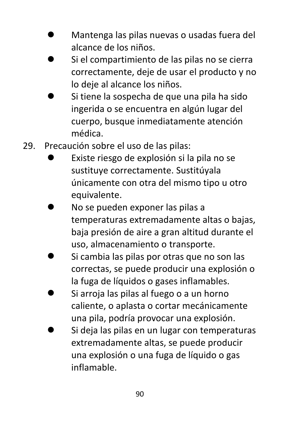- ⚫ Mantenga las pilas nuevas o usadas fuera del alcance de los niños.
- ⚫ Si el compartimiento de las pilas no se cierra correctamente, deje de usar el producto y no lo deje al alcance los niños.
- ⚫ Si tiene la sospecha de que una pila ha sido ingerida o se encuentra en algún lugar del cuerpo, busque inmediatamente atención médica.
- 29. Precaución sobre el uso de las pilas:
	- ⚫ Existe riesgo de explosión si la pila no se sustituye correctamente. Sustitúyala únicamente con otra del mismo tipo u otro equivalente.
	- ⚫ No se pueden exponer las pilas a temperaturas extremadamente altas o bajas, baja presión de aire a gran altitud durante el uso, almacenamiento o transporte.
	- ⚫ Si cambia las pilas por otras que no son las correctas, se puede producir una explosión o la fuga de líquidos o gases inflamables.
	- Si arroja las pilas al fuego o a un horno caliente, o aplasta o cortar mecánicamente una pila, podría provocar una explosión.
	- ⚫ Si deja las pilas en un lugar con temperaturas extremadamente altas, se puede producir una explosión o una fuga de líquido o gas inflamable.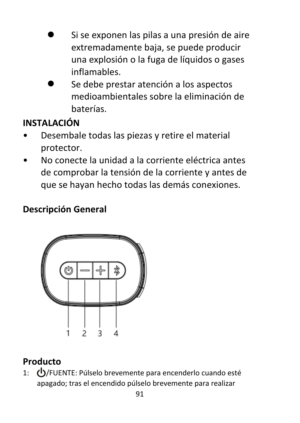- ⚫ Si se exponen las pilas a una presión de aire extremadamente baja, se puede producir una explosión o la fuga de líquidos o gases inflamables.
- ⚫ Se debe prestar atención a los aspectos medioambientales sobre la eliminación de baterías.

# **INSTALACIÓN**

- Desembale todas las piezas y retire el material protector.
- No conecte la unidad a la corriente eléctrica antes de comprobar la tensión de la corriente y antes de que se hayan hecho todas las demás conexiones.

## **Descripción General**



## **Producto**

1: (<sup>1</sup>)/FUENTE: Púlselo brevemente para encenderlo cuando esté apagado; tras el encendido púlselo brevemente para realizar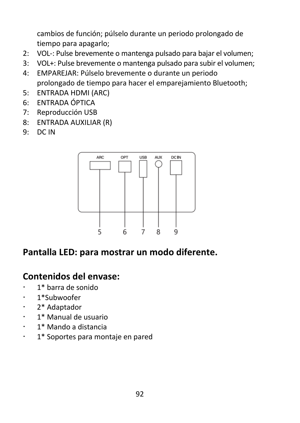cambios de función; púlselo durante un periodo prolongado de tiempo para apagarlo;

- 2: VOL-: Pulse brevemente o mantenga pulsado para bajar el volumen;
- 3: VOL+: Pulse brevemente o mantenga pulsado para subir el volumen;
- 4: EMPAREJAR: Púlselo brevemente o durante un periodo prolongado de tiempo para hacer el emparejamiento Bluetooth;
- 5: ENTRADA HDMI (ARC)
- 6: ENTRADA ÓPTICA
- 7: Reproducción USB
- 8: ENTRADA AUXILIAR (R)
- 9: DC IN



## **Pantalla LED: para mostrar un modo diferente.**

## **Contenidos del envase:**

- 1\* barra de sonido
- · 1\*Subwoofer
- 2\* Adaptador
- 1\* Manual de usuario
- 1\* Mando a distancia
- 1\* Soportes para montaje en pared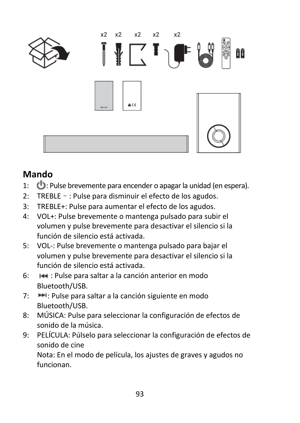

# **Mando**

- 1:  $\bigoplus$ : Pulse brevemente para encender o apagar la unidad (en espera).
- 2: TREBLE–: Pulse para disminuir el efecto de los agudos.
- 3: TREBLE+: Pulse para aumentar el efecto de los agudos.
- 4: VOL+: Pulse brevemente o mantenga pulsado para subir el volumen y pulse brevemente para desactivar el silencio si la función de silencio está activada.
- 5: VOL-: Pulse brevemente o mantenga pulsado para bajar el volumen y pulse brevemente para desactivar el silencio si la función de silencio está activada.
- 6: : Pulse para saltar a la canción anterior en modo Bluetooth/USB.
- 7:  $\blacktriangleright$  : Pulse para saltar a la canción siguiente en modo Bluetooth/USB.
- 8: MÚSICA: Pulse para seleccionar la configuración de efectos de sonido de la música.
- 9: PELÍCULA: Púlselo para seleccionar la configuración de efectos de sonido de cine Nota: En el modo de película, los ajustes de graves y agudos no funcionan.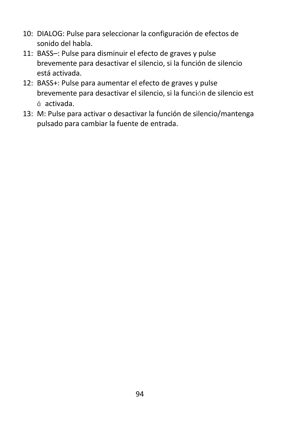- 10: DIALOG: Pulse para seleccionar la configuración de efectos de sonido del habla.
- 11: BASS–: Pulse para disminuir el efecto de graves y pulse brevemente para desactivar el silencio, si la función de silencio está activada.
- 12: BASS+: Pulse para aumentar el efecto de graves y pulse brevemente para desactivar el silencio, si la función de silencio est á activada.
- 13: M: Pulse para activar o desactivar la función de silencio/mantenga pulsado para cambiar la fuente de entrada.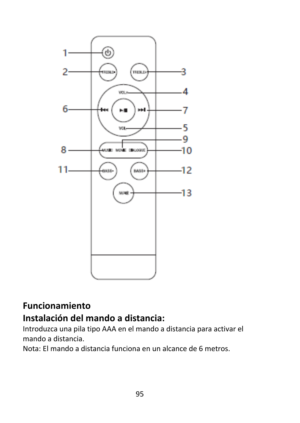

# **Funcionamiento Instalación del mando a distancia:**

Introduzca una pila tipo AAA en el mando a distancia para activar el mando a distancia.

Nota: El mando a distancia funciona en un alcance de 6 metros.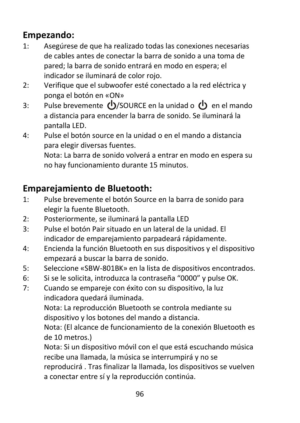# **Empezando:**

- 1: Asegúrese de que ha realizado todas las conexiones necesarias de cables antes de conectar la barra de sonido a una toma de pared; la barra de sonido entrará en modo en espera; el indicador se iluminará de color rojo.
- 2: Verifique que el subwoofer esté conectado a la red eléctrica y ponga el botón en «ON»
- 3: Pulse brevemente  $\bigcup$ /SOURCE en la unidad o  $\bigcup$  en el mando a distancia para encender la barra de sonido. Se iluminará la pantalla LED.
- 4: Pulse el botón source en la unidad o en el mando a distancia para elegir diversas fuentes.

Nota: La barra de sonido volverá a entrar en modo en espera su no hay funcionamiento durante 15 minutos.

# **Emparejamiento de Bluetooth:**

- 1: Pulse brevemente el botón Source en la barra de sonido para elegir la fuente Bluetooth.
- 2: Posteriormente, se iluminará la pantalla LED
- 3: Pulse el botón Pair situado en un lateral de la unidad. El indicador de emparejamiento parpadeará rápidamente.
- 4: Encienda la función Bluetooth en sus dispositivos y el dispositivo empezará a buscar la barra de sonido.
- 5: Seleccione «SBW-801BK» en la lista de dispositivos encontrados.
- 6: Si se le solicita, introduzca la contraseña "0000" y pulse OK.
- 7: Cuando se empareje con éxito con su dispositivo, la luz indicadora quedará iluminada.

Nota: La reproducción Bluetooth se controla mediante su dispositivo y los botones del mando a distancia.

Nota: (El alcance de funcionamiento de la conexión Bluetooth es de 10 metros.)

Nota: Si un dispositivo móvil con el que está escuchando música recibe una llamada, la música se interrumpirá y no se reproducirá . Tras finalizar la llamada, los dispositivos se vuelven a conectar entre sí y la reproducción continúa.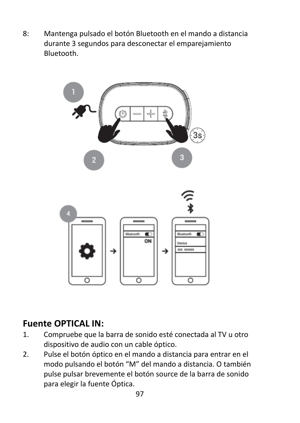8: Mantenga pulsado el botón Bluetooth en el mando a distancia durante 3 segundos para desconectar el emparejamiento Bluetooth.



### **Fuente OPTICAL IN:**

- 1. Compruebe que la barra de sonido esté conectada al TV u otro dispositivo de audio con un cable óptico.
- 2. Pulse el botón óptico en el mando a distancia para entrar en el modo pulsando el botón "M" del mando a distancia. O también pulse pulsar brevemente el botón source de la barra de sonido para elegir la fuente Óptica.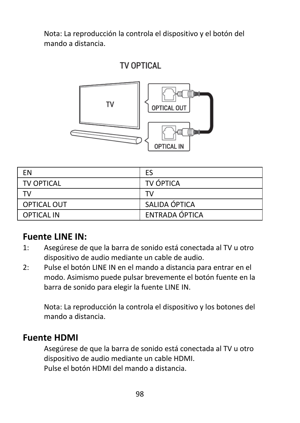Nota: La reproducción la controla el dispositivo y el botón del mando a distancia.

## TV OPTICAL



| FN                | ES             |
|-------------------|----------------|
| <b>TV OPTICAL</b> | TV ÓPTICA      |
| т٧                | T٧             |
| OPTICAL OUT       | SALIDA ÓPTICA  |
| <b>OPTICAL IN</b> | ENTRADA ÓPTICA |

## **Fuente LINE IN:**

- 1: Asegúrese de que la barra de sonido está conectada al TV u otro dispositivo de audio mediante un cable de audio.
- 2: Pulse el botón LINE IN en el mando a distancia para entrar en el modo. Asimismo puede pulsar brevemente el botón fuente en la barra de sonido para elegir la fuente LINE IN.

Nota: La reproducción la controla el dispositivo y los botones del mando a distancia.

#### **Fuente HDMI**

Asegúrese de que la barra de sonido está conectada al TV u otro dispositivo de audio mediante un cable HDMI. Pulse el botón HDMI del mando a distancia.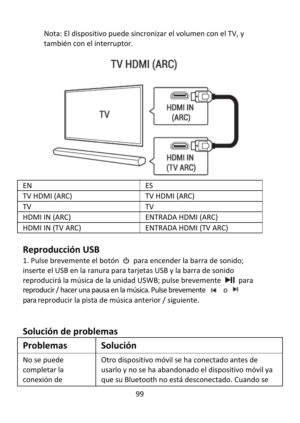Nota: El dispositivo puede sincronizar el volumen con el TV, y también con el interruptor.



# TV HDMI (ARC)

| FN               | ES                           |
|------------------|------------------------------|
| TV HDMI (ARC)    | TV HDMI (ARC)                |
| тv               | тv                           |
| HDMI IN (ARC)    | <b>ENTRADA HDMI (ARC)</b>    |
| HDMI IN (TV ARC) | <b>ENTRADA HDMI (TV ARC)</b> |

# **Reproducción USB**

1. Pulse brevemente el botón  $\Phi$  para encender la barra de sonido; inserte el USB en la ranura para tarjetas USB y la barra de sonido reproducirá la música de la unidad USWB; pulse brevemente >| para reproducir / hacer una pausa en la música. Pulse brevemente  $\blacksquare$  o  $\blacksquare$ para reproducir la pista de música anterior / siguiente.

| <b>Problemas</b> | Solución                                             |
|------------------|------------------------------------------------------|
| No se puede      | Otro dispositivo móvil se ha conectado antes de      |
| completar la     | usarlo y no se ha abandonado el dispositivo móvil ya |
| conexión de      | que su Bluetooth no está desconectado. Cuando se     |

## **Solución de problemas**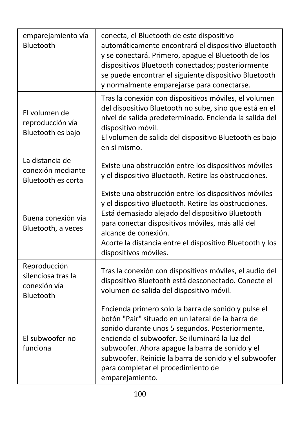| emparejamiento vía<br>Bluetooth                                 | conecta, el Bluetooth de este dispositivo<br>automáticamente encontrará el dispositivo Bluetooth<br>y se conectará. Primero, apague el Bluetooth de los<br>dispositivos Bluetooth conectados; posteriormente<br>se puede encontrar el siguiente dispositivo Bluetooth<br>y normalmente emparejarse para conectarse.                                                                |
|-----------------------------------------------------------------|------------------------------------------------------------------------------------------------------------------------------------------------------------------------------------------------------------------------------------------------------------------------------------------------------------------------------------------------------------------------------------|
| El volumen de<br>reproducción vía<br>Bluetooth es bajo          | Tras la conexión con dispositivos móviles, el volumen<br>del dispositivo Bluetooth no sube, sino que está en el<br>nivel de salida predeterminado. Encienda la salida del<br>dispositivo móvil.<br>El volumen de salida del dispositivo Bluetooth es bajo<br>en sí mismo.                                                                                                          |
| La distancia de<br>conexión mediante<br>Bluetooth es corta      | Existe una obstrucción entre los dispositivos móviles<br>y el dispositivo Bluetooth. Retire las obstrucciones.                                                                                                                                                                                                                                                                     |
| Buena conexión vía<br>Bluetooth, a veces                        | Existe una obstrucción entre los dispositivos móviles<br>y el dispositivo Bluetooth. Retire las obstrucciones.<br>Está demasiado alejado del dispositivo Bluetooth<br>para conectar dispositivos móviles, más allá del<br>alcance de conexión.<br>Acorte la distancia entre el dispositivo Bluetooth y los<br>dispositivos móviles.                                                |
| Reproducción<br>silenciosa tras la<br>conexión vía<br>Bluetooth | Tras la conexión con dispositivos móviles, el audio del<br>dispositivo Bluetooth está desconectado. Conecte el<br>volumen de salida del dispositivo móvil.                                                                                                                                                                                                                         |
| El subwoofer no<br>funciona                                     | Encienda primero solo la barra de sonido y pulse el<br>botón "Pair" situado en un lateral de la barra de<br>sonido durante unos 5 segundos. Posteriormente,<br>encienda el subwoofer. Se iluminará la luz del<br>subwoofer. Ahora apague la barra de sonido y el<br>subwoofer. Reinicie la barra de sonido y el subwoofer<br>para completar el procedimiento de<br>emparejamiento. |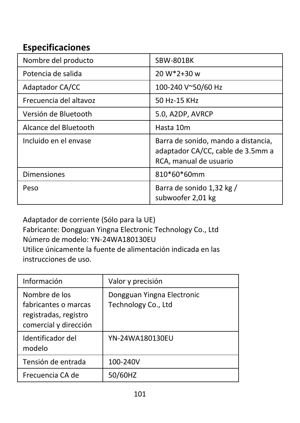# **Especificaciones**

| Nombre del producto    | SBW-801BK                                                                                          |
|------------------------|----------------------------------------------------------------------------------------------------|
| Potencia de salida     | 20 W*2+30 w                                                                                        |
| Adaptador CA/CC        | 100-240 V~50/60 Hz                                                                                 |
| Frecuencia del altavoz | 50 Hz-15 KHz                                                                                       |
| Versión de Bluetooth   | 5.0, A2DP, AVRCP                                                                                   |
| Alcance del Bluetooth  | Hasta 10m                                                                                          |
| Incluido en el envase  | Barra de sonido, mando a distancia,<br>adaptador CA/CC, cable de 3.5mm a<br>RCA, manual de usuario |
| <b>Dimensiones</b>     | 810*60*60mm                                                                                        |
| Peso                   | Barra de sonido 1,32 kg /<br>subwoofer 2,01 kg                                                     |

Adaptador de corriente (Sólo para la UE) Fabricante: Dongguan Yingna Electronic Technology Co., Ltd Número de modelo: YN-24WA180130EU Utilice únicamente la fuente de alimentación indicada en las instrucciones de uso.

| Información                                                                             | Valor y precisión                                 |
|-----------------------------------------------------------------------------------------|---------------------------------------------------|
| Nombre de los<br>fabricantes o marcas<br>registradas, registro<br>comercial y dirección | Dongguan Yingna Electronic<br>Technology Co., Ltd |
| Identificador del<br>modelo                                                             | YN-24WA180130EU                                   |
| Tensión de entrada                                                                      | 100-240V                                          |
| Frecuencia CA de                                                                        | 50/60HZ                                           |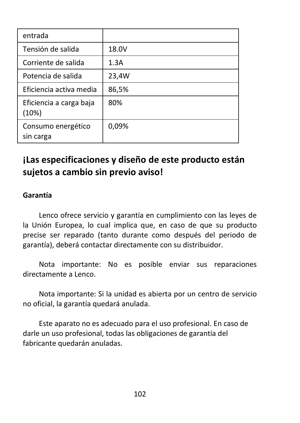| entrada                          |       |
|----------------------------------|-------|
| Tensión de salida                | 18.0V |
| Corriente de salida              | 1.3A  |
| Potencia de salida               | 23,4W |
| Eficiencia activa media          | 86,5% |
| Eficiencia a carga baja<br>(10%) | 80%   |
| Consumo energético<br>sin carga  | 0,09% |

# **¡Las especificaciones y diseño de este producto están sujetos a cambio sin previo aviso!**

#### **Garantía**

Lenco ofrece servicio y garantía en cumplimiento con las leyes de la Unión Europea, lo cual implica que, en caso de que su producto precise ser reparado (tanto durante como después del periodo de garantía), deberá contactar directamente con su distribuidor.

Nota importante: No es posible enviar sus reparaciones directamente a Lenco.

Nota importante: Si la unidad es abierta por un centro de servicio no oficial, la garantía quedará anulada.

Este aparato no es adecuado para el uso profesional. En caso de darle un uso profesional, todas las obligaciones de garantía del fabricante quedarán anuladas.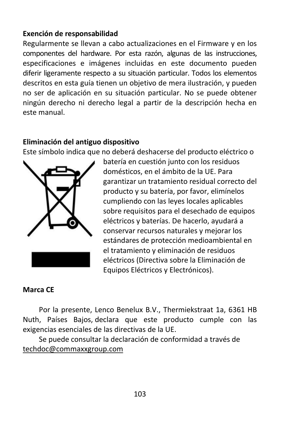#### **Exención de responsabilidad**

Regularmente se llevan a cabo actualizaciones en el Firmware y en los componentes del hardware. Por esta razón, algunas de las instrucciones, especificaciones e imágenes incluidas en este documento pueden diferir ligeramente respecto a su situación particular. Todos los elementos descritos en esta guía tienen un objetivo de mera ilustración, y pueden no ser de aplicación en su situación particular. No se puede obtener ningún derecho ni derecho legal a partir de la descripción hecha en este manual.

#### **Eliminación del antiguo dispositivo**

Este símbolo indica que no deberá deshacerse del producto eléctrico o



batería en cuestión junto con los residuos domésticos, en el ámbito de la UE. Para garantizar un tratamiento residual correcto del producto y su batería, por favor, elimínelos cumpliendo con las leyes locales aplicables sobre requisitos para el desechado de equipos eléctricos y baterías. De hacerlo, ayudará a conservar recursos naturales y mejorar los estándares de protección medioambiental en el tratamiento y eliminación de residuos eléctricos (Directiva sobre la Eliminación de Equipos Eléctricos y Electrónicos).

#### **Marca CE**

Por la presente, Lenco Benelux B.V., Thermiekstraat 1a, 6361 HB Nuth, Países Bajos, declara que este producto cumple con las exigencias esenciales de las directivas de la UE.

Se puede consultar la declaración de conformidad a través de [techdoc@commaxxgroup.com](mailto:techdoc@commaxxgroup.com)